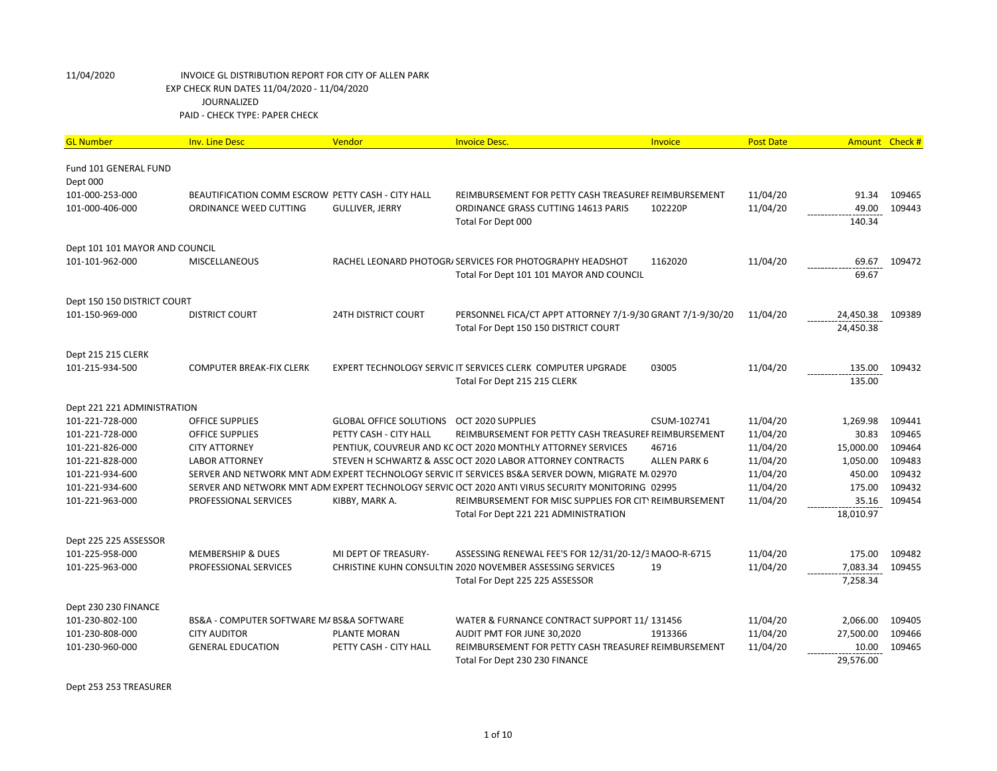| <b>GL Number</b>                   | <b>Inv. Line Desc</b>                             | Vendor                         | <b>Invoice Desc.</b>                                                                               | Invoice      | <b>Post Date</b>     | Amount Check # |                  |
|------------------------------------|---------------------------------------------------|--------------------------------|----------------------------------------------------------------------------------------------------|--------------|----------------------|----------------|------------------|
|                                    |                                                   |                                |                                                                                                    |              |                      |                |                  |
| Fund 101 GENERAL FUND              |                                                   |                                |                                                                                                    |              |                      |                |                  |
| Dept 000                           |                                                   |                                |                                                                                                    |              |                      |                |                  |
| 101-000-253-000<br>101-000-406-000 | BEAUTIFICATION COMM ESCROW PETTY CASH - CITY HALL |                                | REIMBURSEMENT FOR PETTY CASH TREASUREF REIMBURSEMENT                                               |              | 11/04/20<br>11/04/20 | 91.34<br>49.00 | 109465<br>109443 |
|                                    | ORDINANCE WEED CUTTING                            | <b>GULLIVER, JERRY</b>         | ORDINANCE GRASS CUTTING 14613 PARIS<br>Total For Dept 000                                          | 102220P      |                      | 140.34         |                  |
|                                    |                                                   |                                |                                                                                                    |              |                      |                |                  |
| Dept 101 101 MAYOR AND COUNCIL     |                                                   |                                |                                                                                                    |              |                      |                |                  |
| 101-101-962-000                    | <b>MISCELLANEOUS</b>                              |                                | RACHEL LEONARD PHOTOGR/ SERVICES FOR PHOTOGRAPHY HEADSHOT                                          | 1162020      | 11/04/20             | 69.67          | 109472           |
|                                    |                                                   |                                | Total For Dept 101 101 MAYOR AND COUNCIL                                                           |              |                      | 69.67          |                  |
|                                    |                                                   |                                |                                                                                                    |              |                      |                |                  |
| Dept 150 150 DISTRICT COURT        |                                                   |                                |                                                                                                    |              |                      |                |                  |
| 101-150-969-000                    | <b>DISTRICT COURT</b>                             | <b>24TH DISTRICT COURT</b>     | PERSONNEL FICA/CT APPT ATTORNEY 7/1-9/30 GRANT 7/1-9/30/20                                         |              | 11/04/20             | 24,450.38      | 109389           |
|                                    |                                                   |                                | Total For Dept 150 150 DISTRICT COURT                                                              |              |                      | 24,450.38      |                  |
| Dept 215 215 CLERK                 |                                                   |                                |                                                                                                    |              |                      |                |                  |
| 101-215-934-500                    | COMPUTER BREAK-FIX CLERK                          |                                | EXPERT TECHNOLOGY SERVIC IT SERVICES CLERK COMPUTER UPGRADE                                        | 03005        | 11/04/20             | 135.00         | 109432           |
|                                    |                                                   |                                | Total For Dept 215 215 CLERK                                                                       |              |                      | 135.00         |                  |
|                                    |                                                   |                                |                                                                                                    |              |                      |                |                  |
| Dept 221 221 ADMINISTRATION        |                                                   |                                |                                                                                                    |              |                      |                |                  |
| 101-221-728-000                    | <b>OFFICE SUPPLIES</b>                            | <b>GLOBAL OFFICE SOLUTIONS</b> | OCT 2020 SUPPLIES                                                                                  | CSUM-102741  | 11/04/20             | 1,269.98       | 109441           |
| 101-221-728-000                    | <b>OFFICE SUPPLIES</b>                            | PETTY CASH - CITY HALL         | REIMBURSEMENT FOR PETTY CASH TREASUREF REIMBURSEMENT                                               |              | 11/04/20             | 30.83          | 109465           |
| 101-221-826-000                    | <b>CITY ATTORNEY</b>                              |                                | PENTIUK, COUVREUR AND KC OCT 2020 MONTHLY ATTORNEY SERVICES                                        | 46716        | 11/04/20             | 15,000.00      | 109464           |
| 101-221-828-000                    | <b>LABOR ATTORNEY</b>                             |                                | STEVEN H SCHWARTZ & ASSC OCT 2020 LABOR ATTORNEY CONTRACTS                                         | ALLEN PARK 6 | 11/04/20             | 1,050.00       | 109483           |
| 101-221-934-600                    |                                                   |                                | SERVER AND NETWORK MNT ADM EXPERT TECHNOLOGY SERVIC IT SERVICES BS&A SERVER DOWN, MIGRATE M/ 02970 |              | 11/04/20             | 450.00         | 109432           |
| 101-221-934-600                    |                                                   |                                | SERVER AND NETWORK MNT ADM EXPERT TECHNOLOGY SERVIC OCT 2020 ANTI VIRUS SECURITY MONITORING 02995  |              | 11/04/20             | 175.00         | 109432           |
| 101-221-963-000                    | PROFESSIONAL SERVICES                             | KIBBY, MARK A.                 | REIMBURSEMENT FOR MISC SUPPLIES FOR CITY REIMBURSEMENT                                             |              | 11/04/20             | 35.16          | 109454           |
|                                    |                                                   |                                | Total For Dept 221 221 ADMINISTRATION                                                              |              |                      | 18,010.97      |                  |
| Dept 225 225 ASSESSOR              |                                                   |                                |                                                                                                    |              |                      |                |                  |
| 101-225-958-000                    | <b>MEMBERSHIP &amp; DUES</b>                      | MI DEPT OF TREASURY-           | ASSESSING RENEWAL FEE'S FOR 12/31/20-12/3 MAOO-R-6715                                              |              | 11/04/20             | 175.00         | 109482           |
| 101-225-963-000                    | PROFESSIONAL SERVICES                             |                                | CHRISTINE KUHN CONSULTIN 2020 NOVEMBER ASSESSING SERVICES                                          | 19           | 11/04/20             | 7,083.34       | 109455           |
|                                    |                                                   |                                | Total For Dept 225 225 ASSESSOR                                                                    |              |                      | 7,258.34       |                  |
|                                    |                                                   |                                |                                                                                                    |              |                      |                |                  |
| Dept 230 230 FINANCE               |                                                   |                                |                                                                                                    |              |                      |                |                  |
| 101-230-802-100                    | BS&A - COMPUTER SOFTWARE M/ BS&A SOFTWARE         |                                | WATER & FURNANCE CONTRACT SUPPORT 11/131456                                                        |              | 11/04/20             | 2,066.00       | 109405           |
| 101-230-808-000                    | <b>CITY AUDITOR</b>                               | PLANTE MORAN                   | AUDIT PMT FOR JUNE 30,2020                                                                         | 1913366      | 11/04/20             | 27,500.00      | 109466           |
| 101-230-960-000                    | <b>GENERAL EDUCATION</b>                          | PETTY CASH - CITY HALL         | REIMBURSEMENT FOR PETTY CASH TREASUREF REIMBURSEMENT                                               |              | 11/04/20             | 10.00          | 109465           |
|                                    |                                                   |                                | Total For Dept 230 230 FINANCE                                                                     |              |                      | 29.576.00      |                  |

Dept 253 253 TREASURER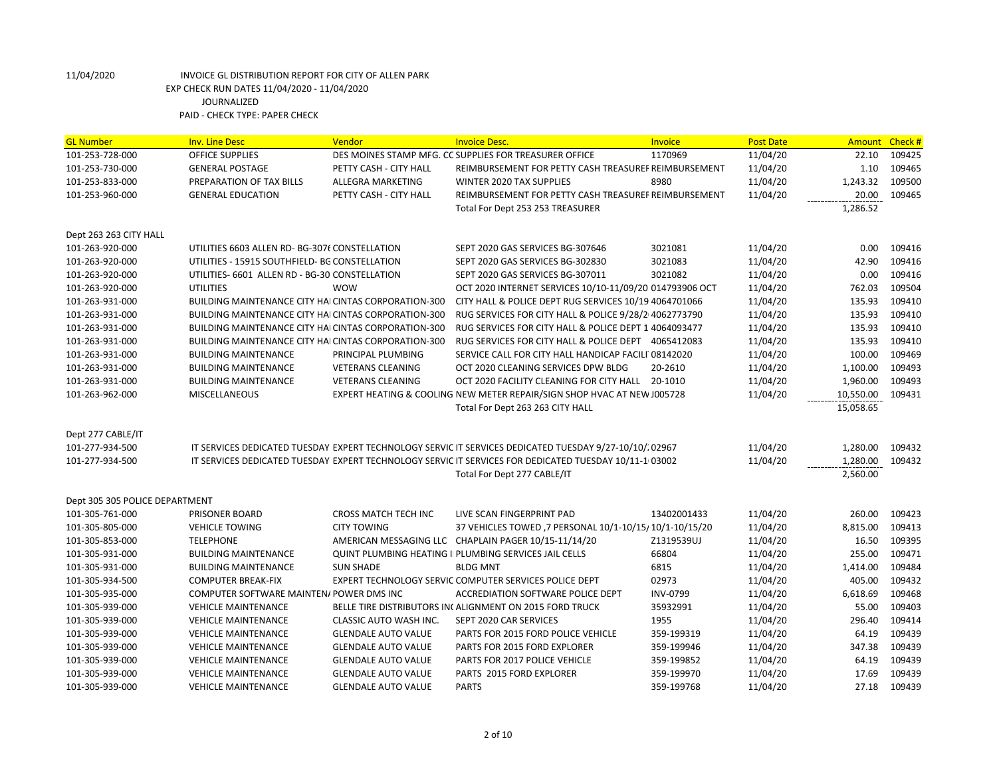| <b>GL Number</b>               | <b>Inv. Line Desc</b>                                       | Vendor                     | <b>Invoice Desc.</b>                                                                                   | Invoice     | <b>Post Date</b> | <b>Amount</b> | Check #          |
|--------------------------------|-------------------------------------------------------------|----------------------------|--------------------------------------------------------------------------------------------------------|-------------|------------------|---------------|------------------|
| 101-253-728-000                | <b>OFFICE SUPPLIES</b>                                      |                            | DES MOINES STAMP MFG. CC SUPPLIES FOR TREASURER OFFICE                                                 | 1170969     | 11/04/20         | 22.10         | 109425           |
| 101-253-730-000                | <b>GENERAL POSTAGE</b>                                      | PETTY CASH - CITY HALL     | REIMBURSEMENT FOR PETTY CASH TREASUREF REIMBURSEMENT                                                   |             | 11/04/20         | 1.10          | 109465           |
| 101-253-833-000                | PREPARATION OF TAX BILLS                                    | ALLEGRA MARKETING          | <b>WINTER 2020 TAX SUPPLIES</b>                                                                        | 8980        | 11/04/20         | 1,243.32      | 109500           |
| 101-253-960-000                | <b>GENERAL EDUCATION</b>                                    | PETTY CASH - CITY HALL     | REIMBURSEMENT FOR PETTY CASH TREASUREF REIMBURSEMENT                                                   |             | 11/04/20         | 20.00         | 109465           |
|                                |                                                             |                            | Total For Dept 253 253 TREASURER                                                                       |             |                  | 1,286.52      |                  |
|                                |                                                             |                            |                                                                                                        |             |                  |               |                  |
| Dept 263 263 CITY HALL         |                                                             |                            |                                                                                                        |             |                  |               | 109416           |
| 101-263-920-000                | UTILITIES 6603 ALLEN RD- BG-3076 CONSTELLATION              |                            | SEPT 2020 GAS SERVICES BG-307646                                                                       | 3021081     | 11/04/20         | 0.00          |                  |
| 101-263-920-000                | UTILITIES - 15915 SOUTHFIELD- BG CONSTELLATION              |                            | SEPT 2020 GAS SERVICES BG-302830                                                                       | 3021083     | 11/04/20         | 42.90<br>0.00 | 109416<br>109416 |
| 101-263-920-000                | UTILITIES- 6601 ALLEN RD - BG-30 CONSTELLATION              |                            | SEPT 2020 GAS SERVICES BG-307011                                                                       | 3021082     | 11/04/20         |               |                  |
| 101-263-920-000                | <b>UTILITIES</b>                                            | <b>WOW</b>                 | OCT 2020 INTERNET SERVICES 10/10-11/09/20 014793906 OCT                                                |             | 11/04/20         | 762.03        | 109504           |
| 101-263-931-000                | BUILDING MAINTENANCE CITY HAI CINTAS CORPORATION-300        |                            | CITY HALL & POLICE DEPT RUG SERVICES 10/19 4064701066                                                  |             | 11/04/20         | 135.93        | 109410           |
| 101-263-931-000                | BUILDING MAINTENANCE CITY HAI CINTAS CORPORATION-300        |                            | RUG SERVICES FOR CITY HALL & POLICE 9/28/2 4062773790                                                  |             | 11/04/20         | 135.93        | 109410           |
| 101-263-931-000                | <b>BUILDING MAINTENANCE CITY HAI CINTAS CORPORATION-300</b> |                            | RUG SERVICES FOR CITY HALL & POLICE DEPT 1 4064093477                                                  |             | 11/04/20         | 135.93        | 109410           |
| 101-263-931-000                | BUILDING MAINTENANCE CITY HAI CINTAS CORPORATION-300        |                            | RUG SERVICES FOR CITY HALL & POLICE DEPT 4065412083                                                    |             | 11/04/20         | 135.93        | 109410           |
| 101-263-931-000                | <b>BUILDING MAINTENANCE</b>                                 | PRINCIPAL PLUMBING         | SERVICE CALL FOR CITY HALL HANDICAP FACILI 08142020                                                    |             | 11/04/20         | 100.00        | 109469           |
| 101-263-931-000                | <b>BUILDING MAINTENANCE</b>                                 | <b>VETERANS CLEANING</b>   | OCT 2020 CLEANING SERVICES DPW BLDG                                                                    | 20-2610     | 11/04/20         | 1,100.00      | 109493           |
| 101-263-931-000                | <b>BUILDING MAINTENANCE</b>                                 | <b>VETERANS CLEANING</b>   | OCT 2020 FACILITY CLEANING FOR CITY HALL 20-1010                                                       |             | 11/04/20         | 1,960.00      | 109493           |
| 101-263-962-000                | <b>MISCELLANEOUS</b>                                        |                            | EXPERT HEATING & COOLING NEW METER REPAIR/SIGN SHOP HVAC AT NEW J005728                                |             | 11/04/20         | 10,550.00     | 109431           |
|                                |                                                             |                            | Total For Dept 263 263 CITY HALL                                                                       |             |                  | 15,058.65     |                  |
| Dept 277 CABLE/IT              |                                                             |                            |                                                                                                        |             |                  |               |                  |
| 101-277-934-500                |                                                             |                            | IT SERVICES DEDICATED TUESDAY EXPERT TECHNOLOGY SERVIC IT SERVICES DEDICATED TUESDAY 9/27-10/10/.02967 |             | 11/04/20         | 1,280.00      | 109432           |
| 101-277-934-500                |                                                             |                            | IT SERVICES DEDICATED TUESDAY EXPERT TECHNOLOGY SERVIC IT SERVICES FOR DEDICATED TUESDAY 10/11-1 03002 |             | 11/04/20         | 1,280.00      | 109432           |
|                                |                                                             |                            | Total For Dept 277 CABLE/IT                                                                            |             |                  | 2,560.00      |                  |
|                                |                                                             |                            |                                                                                                        |             |                  |               |                  |
| Dept 305 305 POLICE DEPARTMENT |                                                             |                            |                                                                                                        |             |                  |               |                  |
| 101-305-761-000                | PRISONER BOARD                                              | CROSS MATCH TECH INC       | LIVE SCAN FINGERPRINT PAD                                                                              | 13402001433 | 11/04/20         | 260.00        | 109423           |
| 101-305-805-000                | <b>VEHICLE TOWING</b>                                       | <b>CITY TOWING</b>         | 37 VEHICLES TOWED, 7 PERSONAL 10/1-10/15/10/1-10/15/20                                                 |             | 11/04/20         | 8,815.00      | 109413           |
| 101-305-853-000                | <b>TELEPHONE</b>                                            |                            | AMERICAN MESSAGING LLC CHAPLAIN PAGER 10/15-11/14/20                                                   | Z1319539UJ  | 11/04/20         | 16.50         | 109395           |
| 101-305-931-000                | <b>BUILDING MAINTENANCE</b>                                 |                            | <b>QUINT PLUMBING HEATING I PLUMBING SERVICES JAIL CELLS</b>                                           | 66804       | 11/04/20         | 255.00        | 109471           |
| 101-305-931-000                | <b>BUILDING MAINTENANCE</b>                                 | <b>SUN SHADE</b>           | <b>BLDG MNT</b>                                                                                        | 6815        | 11/04/20         | 1,414.00      | 109484           |
| 101-305-934-500                | <b>COMPUTER BREAK-FIX</b>                                   |                            | EXPERT TECHNOLOGY SERVIC COMPUTER SERVICES POLICE DEPT                                                 | 02973       | 11/04/20         | 405.00        | 109432           |
| 101-305-935-000                | COMPUTER SOFTWARE MAINTEN/ POWER DMS INC                    |                            | ACCREDIATION SOFTWARE POLICE DEPT                                                                      | INV-0799    | 11/04/20         | 6,618.69      | 109468           |
| 101-305-939-000                | <b>VEHICLE MAINTENANCE</b>                                  |                            | BELLE TIRE DISTRIBUTORS IN ALIGNMENT ON 2015 FORD TRUCK                                                | 35932991    | 11/04/20         | 55.00         | 109403           |
| 101-305-939-000                | <b>VEHICLE MAINTENANCE</b>                                  | CLASSIC AUTO WASH INC.     | SEPT 2020 CAR SERVICES                                                                                 | 1955        | 11/04/20         | 296.40        | 109414           |
| 101-305-939-000                | <b>VEHICLE MAINTENANCE</b>                                  | <b>GLENDALE AUTO VALUE</b> | PARTS FOR 2015 FORD POLICE VEHICLE                                                                     | 359-199319  | 11/04/20         | 64.19         | 109439           |
| 101-305-939-000                | <b>VEHICLE MAINTENANCE</b>                                  | <b>GLENDALE AUTO VALUE</b> | PARTS FOR 2015 FORD EXPLORER                                                                           | 359-199946  | 11/04/20         | 347.38        | 109439           |
| 101-305-939-000                | <b>VEHICLE MAINTENANCE</b>                                  | <b>GLENDALE AUTO VALUE</b> | PARTS FOR 2017 POLICE VEHICLE                                                                          | 359-199852  | 11/04/20         | 64.19         | 109439           |
| 101-305-939-000                | <b>VEHICLE MAINTENANCE</b>                                  | <b>GLENDALE AUTO VALUE</b> | PARTS 2015 FORD EXPLORER                                                                               | 359-199970  | 11/04/20         | 17.69         | 109439           |
| 101-305-939-000                | <b>VEHICLE MAINTENANCE</b>                                  | <b>GLENDALE AUTO VALUE</b> | <b>PARTS</b>                                                                                           | 359-199768  | 11/04/20         | 27.18         | 109439           |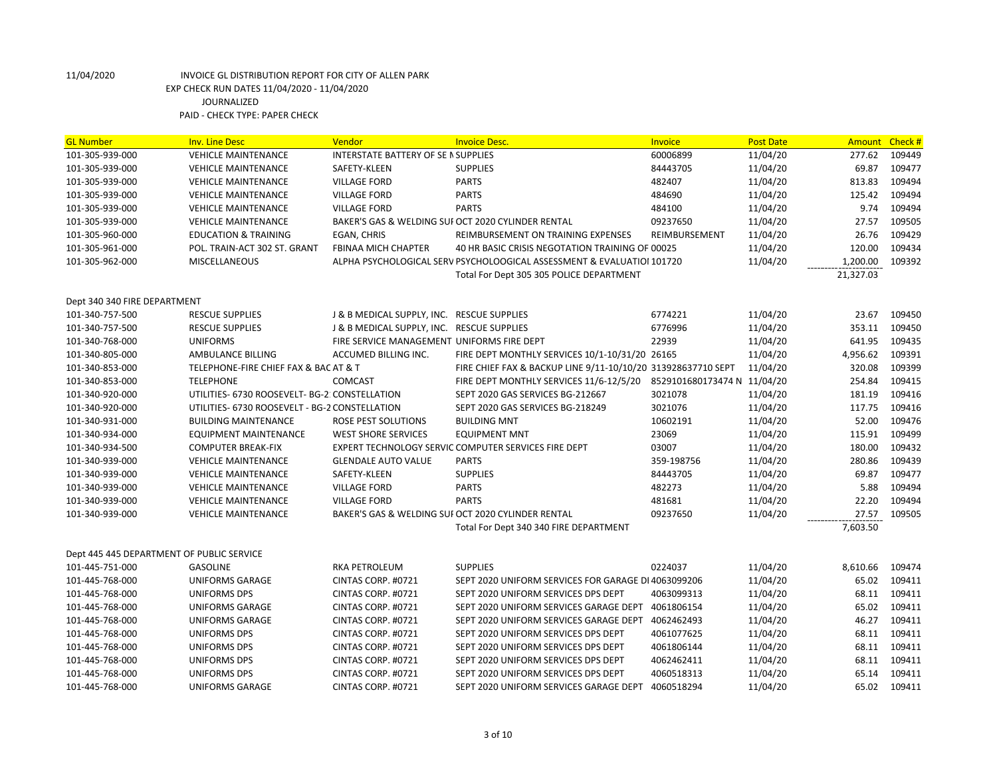| <b>GL Number</b>                          | <b>Inv. Line Desc</b>                          | Vendor                                     | <b>Invoice Desc.</b>                                                   | Invoice                     | <b>Post Date</b> | Amount    | Check # |
|-------------------------------------------|------------------------------------------------|--------------------------------------------|------------------------------------------------------------------------|-----------------------------|------------------|-----------|---------|
| 101-305-939-000                           | <b>VEHICLE MAINTENANCE</b>                     | INTERSTATE BATTERY OF SE I SUPPLIES        |                                                                        | 60006899                    | 11/04/20         | 277.62    | 109449  |
| 101-305-939-000                           | <b>VEHICLE MAINTENANCE</b>                     | SAFETY-KLEEN                               | <b>SUPPLIES</b>                                                        | 84443705                    | 11/04/20         | 69.87     | 109477  |
| 101-305-939-000                           | <b>VEHICLE MAINTENANCE</b>                     | <b>VILLAGE FORD</b>                        | <b>PARTS</b>                                                           | 482407                      | 11/04/20         | 813.83    | 109494  |
| 101-305-939-000                           | <b>VEHICLE MAINTENANCE</b>                     | <b>VILLAGE FORD</b>                        | <b>PARTS</b>                                                           | 484690                      | 11/04/20         | 125.42    | 109494  |
| 101-305-939-000                           | <b>VEHICLE MAINTENANCE</b>                     | <b>VILLAGE FORD</b>                        | <b>PARTS</b>                                                           | 484100                      | 11/04/20         | 9.74      | 109494  |
| 101-305-939-000                           | <b>VEHICLE MAINTENANCE</b>                     |                                            | BAKER'S GAS & WELDING SUF OCT 2020 CYLINDER RENTAL                     | 09237650                    | 11/04/20         | 27.57     | 109505  |
| 101-305-960-000                           | <b>EDUCATION &amp; TRAINING</b>                | EGAN, CHRIS                                | REIMBURSEMENT ON TRAINING EXPENSES                                     | REIMBURSEMENT               | 11/04/20         | 26.76     | 109429  |
| 101-305-961-000                           | POL. TRAIN-ACT 302 ST. GRANT                   | FBINAA MICH CHAPTER                        | 40 HR BASIC CRISIS NEGOTATION TRAINING OF 00025                        |                             | 11/04/20         | 120.00    | 109434  |
| 101-305-962-000                           | <b>MISCELLANEOUS</b>                           |                                            | ALPHA PSYCHOLOGICAL SERV PSYCHOLOOGICAL ASSESSMENT & EVALUATIOI 101720 |                             | 11/04/20         | 1,200.00  | 109392  |
|                                           |                                                |                                            | Total For Dept 305 305 POLICE DEPARTMENT                               |                             |                  | 21,327.03 |         |
|                                           |                                                |                                            |                                                                        |                             |                  |           |         |
| Dept 340 340 FIRE DEPARTMENT              |                                                |                                            |                                                                        |                             |                  |           |         |
| 101-340-757-500                           | <b>RESCUE SUPPLIES</b>                         | J & B MEDICAL SUPPLY, INC. RESCUE SUPPLIES |                                                                        | 6774221                     | 11/04/20         | 23.67     | 109450  |
| 101-340-757-500                           | <b>RESCUE SUPPLIES</b>                         | J & B MEDICAL SUPPLY, INC. RESCUE SUPPLIES |                                                                        | 6776996                     | 11/04/20         | 353.11    | 109450  |
| 101-340-768-000                           | <b>UNIFORMS</b>                                | FIRE SERVICE MANAGEMENT UNIFORMS FIRE DEPT |                                                                        | 22939                       | 11/04/20         | 641.95    | 109435  |
| 101-340-805-000                           | AMBULANCE BILLING                              | ACCUMED BILLING INC.                       | FIRE DEPT MONTHLY SERVICES 10/1-10/31/20 26165                         |                             | 11/04/20         | 4,956.62  | 109391  |
| 101-340-853-000                           | TELEPHONE-FIRE CHIEF FAX & BAC AT & T          |                                            | FIRE CHIEF FAX & BACKUP LINE 9/11-10/10/20 313928637710 SEPT           |                             | 11/04/20         | 320.08    | 109399  |
| 101-340-853-000                           | <b>TELEPHONE</b>                               | <b>COMCAST</b>                             | FIRE DEPT MONTHLY SERVICES 11/6-12/5/20                                | 8529101680173474 N 11/04/20 |                  | 254.84    | 109415  |
| 101-340-920-000                           | UTILITIES- 6730 ROOSEVELT- BG-2: CONSTELLATION |                                            | SEPT 2020 GAS SERVICES BG-212667                                       | 3021078                     | 11/04/20         | 181.19    | 109416  |
| 101-340-920-000                           | UTILITIES- 6730 ROOSEVELT - BG-2 CONSTELLATION |                                            | SEPT 2020 GAS SERVICES BG-218249                                       | 3021076                     | 11/04/20         | 117.75    | 109416  |
| 101-340-931-000                           | <b>BUILDING MAINTENANCE</b>                    | ROSE PEST SOLUTIONS                        | <b>BUILDING MNT</b>                                                    | 10602191                    | 11/04/20         | 52.00     | 109476  |
| 101-340-934-000                           | EQUIPMENT MAINTENANCE                          | <b>WEST SHORE SERVICES</b>                 | <b>EQUIPMENT MNT</b>                                                   | 23069                       | 11/04/20         | 115.91    | 109499  |
| 101-340-934-500                           | <b>COMPUTER BREAK-FIX</b>                      |                                            | EXPERT TECHNOLOGY SERVIC COMPUTER SERVICES FIRE DEPT                   | 03007                       | 11/04/20         | 180.00    | 109432  |
| 101-340-939-000                           | <b>VEHICLE MAINTENANCE</b>                     | <b>GLENDALE AUTO VALUE</b>                 | <b>PARTS</b>                                                           | 359-198756                  | 11/04/20         | 280.86    | 109439  |
| 101-340-939-000                           | <b>VEHICLE MAINTENANCE</b>                     | SAFETY-KLEEN                               | <b>SUPPLIES</b>                                                        | 84443705                    | 11/04/20         | 69.87     | 109477  |
| 101-340-939-000                           | <b>VEHICLE MAINTENANCE</b>                     | <b>VILLAGE FORD</b>                        | <b>PARTS</b>                                                           | 482273                      | 11/04/20         | 5.88      | 109494  |
| 101-340-939-000                           | <b>VEHICLE MAINTENANCE</b>                     | <b>VILLAGE FORD</b>                        | <b>PARTS</b>                                                           | 481681                      | 11/04/20         | 22.20     | 109494  |
| 101-340-939-000                           | <b>VEHICLE MAINTENANCE</b>                     |                                            | BAKER'S GAS & WELDING SUI OCT 2020 CYLINDER RENTAL                     | 09237650                    | 11/04/20         | 27.57     | 109505  |
|                                           |                                                |                                            | Total For Dept 340 340 FIRE DEPARTMENT                                 |                             |                  | 7,603.50  |         |
|                                           |                                                |                                            |                                                                        |                             |                  |           |         |
| Dept 445 445 DEPARTMENT OF PUBLIC SERVICE |                                                |                                            |                                                                        |                             |                  |           |         |
| 101-445-751-000                           | <b>GASOLINE</b>                                | <b>RKA PETROLEUM</b>                       | <b>SUPPLIES</b>                                                        | 0224037                     | 11/04/20         | 8,610.66  | 109474  |
| 101-445-768-000                           | <b>UNIFORMS GARAGE</b>                         | CINTAS CORP. #0721                         | SEPT 2020 UNIFORM SERVICES FOR GARAGE DI 4063099206                    |                             | 11/04/20         | 65.02     | 109411  |
| 101-445-768-000                           | <b>UNIFORMS DPS</b>                            | CINTAS CORP. #0721                         | SEPT 2020 UNIFORM SERVICES DPS DEPT                                    | 4063099313                  | 11/04/20         | 68.11     | 109411  |
| 101-445-768-000                           | UNIFORMS GARAGE                                | CINTAS CORP. #0721                         | SEPT 2020 UNIFORM SERVICES GARAGE DEPT                                 | 4061806154                  | 11/04/20         | 65.02     | 109411  |
| 101-445-768-000                           | <b>UNIFORMS GARAGE</b>                         | CINTAS CORP. #0721                         | SEPT 2020 UNIFORM SERVICES GARAGE DEPT                                 | 4062462493                  | 11/04/20         | 46.27     | 109411  |
| 101-445-768-000                           | <b>UNIFORMS DPS</b>                            | CINTAS CORP. #0721                         | SEPT 2020 UNIFORM SERVICES DPS DEPT                                    | 4061077625                  | 11/04/20         | 68.11     | 109411  |
| 101-445-768-000                           | <b>UNIFORMS DPS</b>                            | CINTAS CORP. #0721                         | SEPT 2020 UNIFORM SERVICES DPS DEPT                                    | 4061806144                  | 11/04/20         | 68.11     | 109411  |
| 101-445-768-000                           | UNIFORMS DPS                                   | CINTAS CORP. #0721                         | SEPT 2020 UNIFORM SERVICES DPS DEPT                                    | 4062462411                  | 11/04/20         | 68.11     | 109411  |
| 101-445-768-000                           | <b>UNIFORMS DPS</b>                            | CINTAS CORP. #0721                         | SEPT 2020 UNIFORM SERVICES DPS DEPT                                    | 4060518313                  | 11/04/20         | 65.14     | 109411  |
| 101-445-768-000                           | UNIFORMS GARAGE                                | CINTAS CORP. #0721                         | SEPT 2020 UNIFORM SERVICES GARAGE DEPT                                 | 4060518294                  | 11/04/20         | 65.02     | 109411  |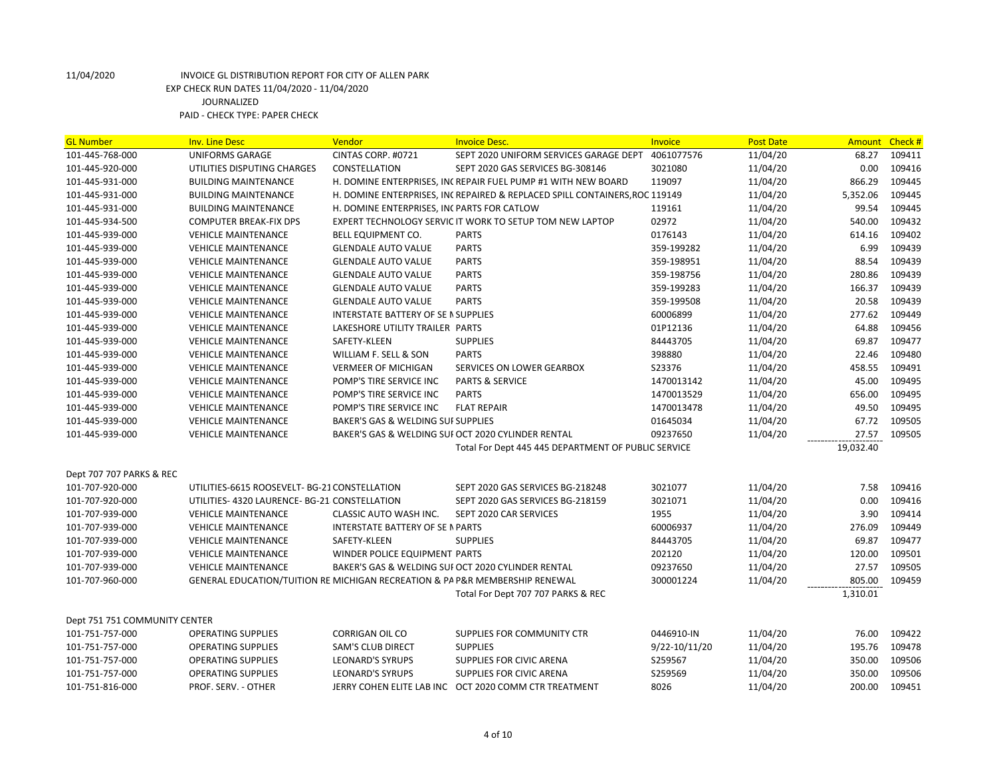| <b>GL Number</b>              | <b>Inv. Line Desc</b>                                                        | Vendor                                        | <b>Invoice Desc.</b>                                                       | Invoice       | <b>Post Date</b> | <b>Amount</b> | Check # |
|-------------------------------|------------------------------------------------------------------------------|-----------------------------------------------|----------------------------------------------------------------------------|---------------|------------------|---------------|---------|
| 101-445-768-000               | <b>UNIFORMS GARAGE</b>                                                       | CINTAS CORP. #0721                            | SEPT 2020 UNIFORM SERVICES GARAGE DEPT                                     | 4061077576    | 11/04/20         | 68.27         | 109411  |
| 101-445-920-000               | UTILITIES DISPUTING CHARGES                                                  | CONSTELLATION                                 | SEPT 2020 GAS SERVICES BG-308146                                           | 3021080       | 11/04/20         | 0.00          | 109416  |
| 101-445-931-000               | <b>BUILDING MAINTENANCE</b>                                                  |                                               | H. DOMINE ENTERPRISES, INCREPAIR FUEL PUMP #1 WITH NEW BOARD               | 119097        | 11/04/20         | 866.29        | 109445  |
| 101-445-931-000               | <b>BUILDING MAINTENANCE</b>                                                  |                                               | H. DOMINE ENTERPRISES, INCREPAIRED & REPLACED SPILL CONTAINERS, ROC 119149 |               | 11/04/20         | 5,352.06      | 109445  |
| 101-445-931-000               | <b>BUILDING MAINTENANCE</b>                                                  | H. DOMINE ENTERPRISES, INC PARTS FOR CATLOW   |                                                                            | 119161        | 11/04/20         | 99.54         | 109445  |
| 101-445-934-500               | <b>COMPUTER BREAK-FIX DPS</b>                                                |                                               | EXPERT TECHNOLOGY SERVIC IT WORK TO SETUP TOM NEW LAPTOP                   | 02972         | 11/04/20         | 540.00        | 109432  |
| 101-445-939-000               | <b>VEHICLE MAINTENANCE</b>                                                   | <b>BELL EQUIPMENT CO.</b>                     | <b>PARTS</b>                                                               | 0176143       | 11/04/20         | 614.16        | 109402  |
| 101-445-939-000               | <b>VEHICLE MAINTENANCE</b>                                                   | <b>GLENDALE AUTO VALUE</b>                    | <b>PARTS</b>                                                               | 359-199282    | 11/04/20         | 6.99          | 109439  |
| 101-445-939-000               | <b>VEHICLE MAINTENANCE</b>                                                   | <b>GLENDALE AUTO VALUE</b>                    | <b>PARTS</b>                                                               | 359-198951    | 11/04/20         | 88.54         | 109439  |
| 101-445-939-000               | <b>VEHICLE MAINTENANCE</b>                                                   | <b>GLENDALE AUTO VALUE</b>                    | <b>PARTS</b>                                                               | 359-198756    | 11/04/20         | 280.86        | 109439  |
| 101-445-939-000               | <b>VEHICLE MAINTENANCE</b>                                                   | <b>GLENDALE AUTO VALUE</b>                    | <b>PARTS</b>                                                               | 359-199283    | 11/04/20         | 166.37        | 109439  |
| 101-445-939-000               | <b>VEHICLE MAINTENANCE</b>                                                   | <b>GLENDALE AUTO VALUE</b>                    | <b>PARTS</b>                                                               | 359-199508    | 11/04/20         | 20.58         | 109439  |
| 101-445-939-000               | <b>VEHICLE MAINTENANCE</b>                                                   | INTERSTATE BATTERY OF SE IN SUPPLIES          |                                                                            | 60006899      | 11/04/20         | 277.62        | 109449  |
| 101-445-939-000               | <b>VEHICLE MAINTENANCE</b>                                                   | LAKESHORE UTILITY TRAILER PARTS               |                                                                            | 01P12136      | 11/04/20         | 64.88         | 109456  |
| 101-445-939-000               | <b>VEHICLE MAINTENANCE</b>                                                   | SAFETY-KLEEN                                  | <b>SUPPLIES</b>                                                            | 84443705      | 11/04/20         | 69.87         | 109477  |
| 101-445-939-000               | <b>VEHICLE MAINTENANCE</b>                                                   | WILLIAM F. SELL & SON                         | <b>PARTS</b>                                                               | 398880        | 11/04/20         | 22.46         | 109480  |
| 101-445-939-000               | <b>VEHICLE MAINTENANCE</b>                                                   | <b>VERMEER OF MICHIGAN</b>                    | SERVICES ON LOWER GEARBOX                                                  | S23376        | 11/04/20         | 458.55        | 109491  |
| 101-445-939-000               | <b>VEHICLE MAINTENANCE</b>                                                   | POMP'S TIRE SERVICE INC                       | <b>PARTS &amp; SERVICE</b>                                                 | 1470013142    | 11/04/20         | 45.00         | 109495  |
| 101-445-939-000               | <b>VEHICLE MAINTENANCE</b>                                                   | POMP'S TIRE SERVICE INC                       | <b>PARTS</b>                                                               | 1470013529    | 11/04/20         | 656.00        | 109495  |
| 101-445-939-000               | <b>VEHICLE MAINTENANCE</b>                                                   | POMP'S TIRE SERVICE INC                       | <b>FLAT REPAIR</b>                                                         | 1470013478    | 11/04/20         | 49.50         | 109495  |
| 101-445-939-000               | <b>VEHICLE MAINTENANCE</b>                                                   | <b>BAKER'S GAS &amp; WELDING SUI SUPPLIES</b> |                                                                            | 01645034      | 11/04/20         | 67.72         | 109505  |
| 101-445-939-000               | <b>VEHICLE MAINTENANCE</b>                                                   |                                               | BAKER'S GAS & WELDING SUI OCT 2020 CYLINDER RENTAL                         | 09237650      | 11/04/20         | 27.57         | 109505  |
|                               |                                                                              |                                               | Total For Dept 445 445 DEPARTMENT OF PUBLIC SERVICE                        |               |                  | 19,032.40     |         |
|                               |                                                                              |                                               |                                                                            |               |                  |               |         |
| Dept 707 707 PARKS & REC      |                                                                              |                                               |                                                                            |               |                  |               |         |
| 101-707-920-000               | UTILITIES-6615 ROOSEVELT- BG-21 CONSTELLATION                                |                                               | SEPT 2020 GAS SERVICES BG-218248                                           | 3021077       | 11/04/20         | 7.58          | 109416  |
| 101-707-920-000               | UTILITIES- 4320 LAURENCE- BG-21 CONSTELLATION                                |                                               | SEPT 2020 GAS SERVICES BG-218159                                           | 3021071       | 11/04/20         | 0.00          | 109416  |
| 101-707-939-000               | <b>VEHICLE MAINTENANCE</b>                                                   | <b>CLASSIC AUTO WASH INC.</b>                 | SEPT 2020 CAR SERVICES                                                     | 1955          | 11/04/20         | 3.90          | 109414  |
| 101-707-939-000               | <b>VEHICLE MAINTENANCE</b>                                                   | INTERSTATE BATTERY OF SE N PARTS              |                                                                            | 60006937      | 11/04/20         | 276.09        | 109449  |
| 101-707-939-000               | <b>VEHICLE MAINTENANCE</b>                                                   | SAFETY-KLEEN                                  | <b>SUPPLIES</b>                                                            | 84443705      | 11/04/20         | 69.87         | 109477  |
| 101-707-939-000               | <b>VEHICLE MAINTENANCE</b>                                                   | WINDER POLICE EQUIPMENT PARTS                 |                                                                            | 202120        | 11/04/20         | 120.00        | 109501  |
| 101-707-939-000               | <b>VEHICLE MAINTENANCE</b>                                                   |                                               | BAKER'S GAS & WELDING SUI OCT 2020 CYLINDER RENTAL                         | 09237650      | 11/04/20         | 27.57         | 109505  |
| 101-707-960-000               | GENERAL EDUCATION/TUITION RE MICHIGAN RECREATION & PA P&R MEMBERSHIP RENEWAL |                                               |                                                                            | 300001224     | 11/04/20         | 805.00        | 109459  |
|                               |                                                                              |                                               | Total For Dept 707 707 PARKS & REC                                         |               |                  | 1,310.01      |         |
|                               |                                                                              |                                               |                                                                            |               |                  |               |         |
| Dept 751 751 COMMUNITY CENTER |                                                                              |                                               |                                                                            |               |                  |               |         |
| 101-751-757-000               | <b>OPERATING SUPPLIES</b>                                                    | <b>CORRIGAN OIL CO</b>                        | SUPPLIES FOR COMMUNITY CTR                                                 | 0446910-IN    | 11/04/20         | 76.00         | 109422  |
| 101-751-757-000               | <b>OPERATING SUPPLIES</b>                                                    | <b>SAM'S CLUB DIRECT</b>                      | <b>SUPPLIES</b>                                                            | 9/22-10/11/20 | 11/04/20         | 195.76        | 109478  |
| 101-751-757-000               | <b>OPERATING SUPPLIES</b>                                                    | <b>LEONARD'S SYRUPS</b>                       | SUPPLIES FOR CIVIC ARENA                                                   | S259567       | 11/04/20         | 350.00        | 109506  |
| 101-751-757-000               | <b>OPERATING SUPPLIES</b>                                                    | <b>LEONARD'S SYRUPS</b>                       | SUPPLIES FOR CIVIC ARENA                                                   | S259569       | 11/04/20         | 350.00        | 109506  |
| 101-751-816-000               | PROF. SERV. - OTHER                                                          |                                               | JERRY COHEN ELITE LAB INC OCT 2020 COMM CTR TREATMENT                      | 8026          | 11/04/20         | 200.00        | 109451  |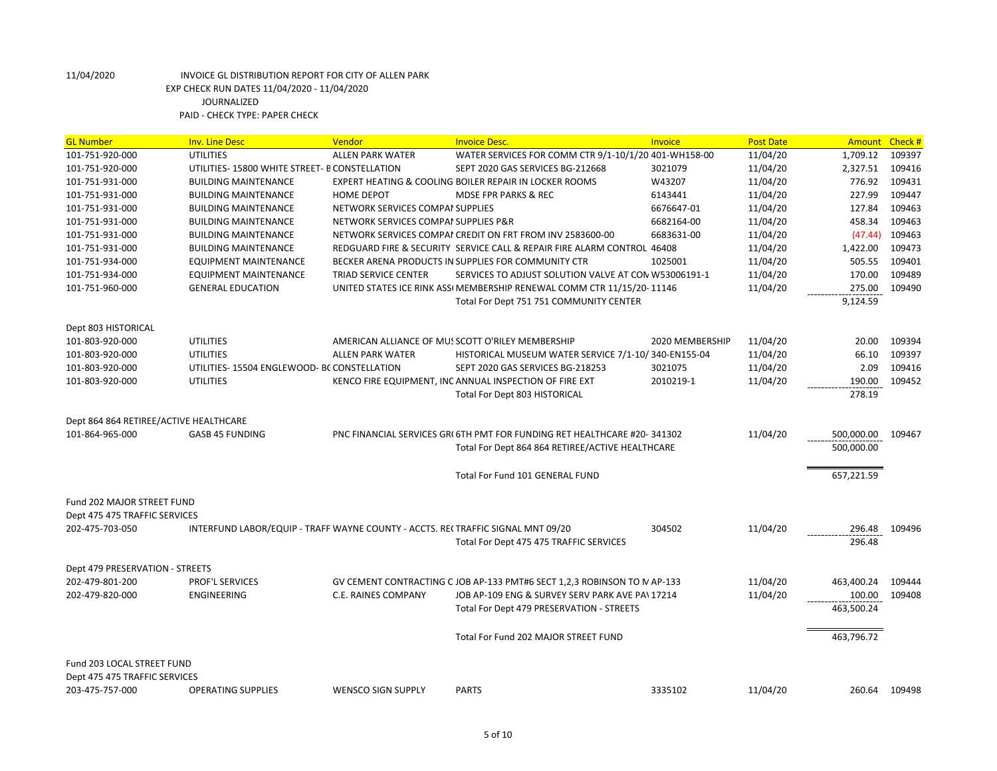| <b>UTILITIES</b><br>WATER SERVICES FOR COMM CTR 9/1-10/1/20 401-WH158-00<br>11/04/20<br>1,709.12<br>109397<br>101-751-920-000<br><b>ALLEN PARK WATER</b><br>11/04/20<br>2,327.51<br>109416<br>101-751-920-000<br>UTILITIES-15800 WHITE STREET- B CONSTELLATION<br>SEPT 2020 GAS SERVICES BG-212668<br>3021079<br>109431<br>101-751-931-000<br>EXPERT HEATING & COOLING BOILER REPAIR IN LOCKER ROOMS<br>W43207<br>11/04/20<br>776.92<br><b>BUILDING MAINTENANCE</b><br>227.99<br>109447<br>11/04/20<br>101-751-931-000<br><b>BUILDING MAINTENANCE</b><br><b>HOME DEPOT</b><br><b>MDSE FPR PARKS &amp; REC</b><br>6143441<br>11/04/20<br>127.84<br>109463<br>101-751-931-000<br><b>BUILDING MAINTENANCE</b><br>NETWORK SERVICES COMPAI SUPPLIES<br>6676647-01<br>6682164-00<br>11/04/20<br>458.34<br>109463<br>101-751-931-000<br><b>BUILDING MAINTENANCE</b><br>NETWORK SERVICES COMPAI SUPPLIES P&R<br>6683631-00<br>109463<br>101-751-931-000<br><b>BUILDING MAINTENANCE</b><br>NETWORK SERVICES COMPAI CREDIT ON FRT FROM INV 2583600-00<br>11/04/20<br>(47.44)<br>109473<br>REDGUARD FIRE & SECURITY SERVICE CALL & REPAIR FIRE ALARM CONTROL 46408<br>11/04/20<br>1,422.00<br>101-751-931-000<br><b>BUILDING MAINTENANCE</b><br>BECKER ARENA PRODUCTS IN SUPPLIES FOR COMMUNITY CTR<br>1025001<br>11/04/20<br>505.55<br>109401<br>101-751-934-000<br><b>EQUIPMENT MAINTENANCE</b><br>170.00<br>109489<br>101-751-934-000<br>EQUIPMENT MAINTENANCE<br>TRIAD SERVICE CENTER<br>SERVICES TO ADJUST SOLUTION VALVE AT CON W53006191-1<br>11/04/20<br><b>GENERAL EDUCATION</b><br>UNITED STATES ICE RINK ASSI MEMBERSHIP RENEWAL COMM CTR 11/15/20-11146<br>11/04/20<br>275.00<br>109490<br>101-751-960-000<br>Total For Dept 751 751 COMMUNITY CENTER<br>9,124.59<br>Dept 803 HISTORICAL<br>109394<br>101-803-920-000<br><b>UTILITIES</b><br>AMERICAN ALLIANCE OF MUSSCOTT O'RILEY MEMBERSHIP<br>2020 MEMBERSHIP<br>11/04/20<br>20.00<br>109397<br>101-803-920-000<br><b>UTILITIES</b><br><b>ALLEN PARK WATER</b><br>HISTORICAL MUSEUM WATER SERVICE 7/1-10/340-EN155-04<br>11/04/20<br>66.10<br>2.09<br>109416<br>UTILITIES-15504 ENGLEWOOD- BC CONSTELLATION<br>11/04/20<br>101-803-920-000<br>SEPT 2020 GAS SERVICES BG-218253<br>3021075<br>UTILITIES<br>KENCO FIRE EQUIPMENT, INC ANNUAL INSPECTION OF FIRE EXT<br>11/04/20<br>190.00<br>109452<br>101-803-920-000<br>2010219-1<br>278.19<br><b>Total For Dept 803 HISTORICAL</b><br>Dept 864 864 RETIREE/ACTIVE HEALTHCARE<br>11/04/20<br>101-864-965-000<br>GASB 45 FUNDING<br>PNC FINANCIAL SERVICES GRI 6TH PMT FOR FUNDING RET HEALTHCARE #20-341302<br>500,000.00<br>109467<br>Total For Dept 864 864 RETIREE/ACTIVE HEALTHCARE<br>500,000.00<br>Total For Fund 101 GENERAL FUND<br>657,221.59<br>Fund 202 MAJOR STREET FUND<br>Dept 475 475 TRAFFIC SERVICES<br>11/04/20<br>202-475-703-050<br>INTERFUND LABOR/EQUIP - TRAFF WAYNE COUNTY - ACCTS. RECTRAFFIC SIGNAL MNT 09/20<br>304502<br>296.48<br>109496<br>Total For Dept 475 475 TRAFFIC SERVICES<br>296.48<br>Dept 479 PRESERVATION - STREETS<br><b>PROF'L SERVICES</b><br>11/04/20<br>463,400.24<br>202-479-801-200<br>GV CEMENT CONTRACTING C JOB AP-133 PMT#6 SECT 1,2,3 ROBINSON TO MAP-133<br>109444<br>11/04/20<br>100.00<br>202-479-820-000<br><b>ENGINEERING</b><br>C.E. RAINES COMPANY<br>JOB AP-109 ENG & SURVEY SERV PARK AVE PA\17214<br>109408<br>463,500.24<br>Total For Dept 479 PRESERVATION - STREETS<br>463,796.72<br>Total For Fund 202 MAJOR STREET FUND<br>Fund 203 LOCAL STREET FUND<br>Dept 475 475 TRAFFIC SERVICES | <b>GL Number</b> | <b>Inv. Line Desc</b>     | Vendor                    | <b>Invoice Desc.</b> | Invoice | <b>Post Date</b> | Amount Check # |        |
|-----------------------------------------------------------------------------------------------------------------------------------------------------------------------------------------------------------------------------------------------------------------------------------------------------------------------------------------------------------------------------------------------------------------------------------------------------------------------------------------------------------------------------------------------------------------------------------------------------------------------------------------------------------------------------------------------------------------------------------------------------------------------------------------------------------------------------------------------------------------------------------------------------------------------------------------------------------------------------------------------------------------------------------------------------------------------------------------------------------------------------------------------------------------------------------------------------------------------------------------------------------------------------------------------------------------------------------------------------------------------------------------------------------------------------------------------------------------------------------------------------------------------------------------------------------------------------------------------------------------------------------------------------------------------------------------------------------------------------------------------------------------------------------------------------------------------------------------------------------------------------------------------------------------------------------------------------------------------------------------------------------------------------------------------------------------------------------------------------------------------------------------------------------------------------------------------------------------------------------------------------------------------------------------------------------------------------------------------------------------------------------------------------------------------------------------------------------------------------------------------------------------------------------------------------------------------------------------------------------------------------------------------------------------------------------------------------------------------------------------------------------------------------------------------------------------------------------------------------------------------------------------------------------------------------------------------------------------------------------------------------------------------------------------------------------------------------------------------------------------------------------------------------------------------------------------------------------------------------------------------------------------------------------------------------------------------------------------------------------------------------------------------------------------------------------------------------------------------------------------------------------------------------------------------------------------|------------------|---------------------------|---------------------------|----------------------|---------|------------------|----------------|--------|
|                                                                                                                                                                                                                                                                                                                                                                                                                                                                                                                                                                                                                                                                                                                                                                                                                                                                                                                                                                                                                                                                                                                                                                                                                                                                                                                                                                                                                                                                                                                                                                                                                                                                                                                                                                                                                                                                                                                                                                                                                                                                                                                                                                                                                                                                                                                                                                                                                                                                                                                                                                                                                                                                                                                                                                                                                                                                                                                                                                                                                                                                                                                                                                                                                                                                                                                                                                                                                                                                                                                                                                 |                  |                           |                           |                      |         |                  |                |        |
|                                                                                                                                                                                                                                                                                                                                                                                                                                                                                                                                                                                                                                                                                                                                                                                                                                                                                                                                                                                                                                                                                                                                                                                                                                                                                                                                                                                                                                                                                                                                                                                                                                                                                                                                                                                                                                                                                                                                                                                                                                                                                                                                                                                                                                                                                                                                                                                                                                                                                                                                                                                                                                                                                                                                                                                                                                                                                                                                                                                                                                                                                                                                                                                                                                                                                                                                                                                                                                                                                                                                                                 |                  |                           |                           |                      |         |                  |                |        |
|                                                                                                                                                                                                                                                                                                                                                                                                                                                                                                                                                                                                                                                                                                                                                                                                                                                                                                                                                                                                                                                                                                                                                                                                                                                                                                                                                                                                                                                                                                                                                                                                                                                                                                                                                                                                                                                                                                                                                                                                                                                                                                                                                                                                                                                                                                                                                                                                                                                                                                                                                                                                                                                                                                                                                                                                                                                                                                                                                                                                                                                                                                                                                                                                                                                                                                                                                                                                                                                                                                                                                                 |                  |                           |                           |                      |         |                  |                |        |
|                                                                                                                                                                                                                                                                                                                                                                                                                                                                                                                                                                                                                                                                                                                                                                                                                                                                                                                                                                                                                                                                                                                                                                                                                                                                                                                                                                                                                                                                                                                                                                                                                                                                                                                                                                                                                                                                                                                                                                                                                                                                                                                                                                                                                                                                                                                                                                                                                                                                                                                                                                                                                                                                                                                                                                                                                                                                                                                                                                                                                                                                                                                                                                                                                                                                                                                                                                                                                                                                                                                                                                 |                  |                           |                           |                      |         |                  |                |        |
|                                                                                                                                                                                                                                                                                                                                                                                                                                                                                                                                                                                                                                                                                                                                                                                                                                                                                                                                                                                                                                                                                                                                                                                                                                                                                                                                                                                                                                                                                                                                                                                                                                                                                                                                                                                                                                                                                                                                                                                                                                                                                                                                                                                                                                                                                                                                                                                                                                                                                                                                                                                                                                                                                                                                                                                                                                                                                                                                                                                                                                                                                                                                                                                                                                                                                                                                                                                                                                                                                                                                                                 |                  |                           |                           |                      |         |                  |                |        |
|                                                                                                                                                                                                                                                                                                                                                                                                                                                                                                                                                                                                                                                                                                                                                                                                                                                                                                                                                                                                                                                                                                                                                                                                                                                                                                                                                                                                                                                                                                                                                                                                                                                                                                                                                                                                                                                                                                                                                                                                                                                                                                                                                                                                                                                                                                                                                                                                                                                                                                                                                                                                                                                                                                                                                                                                                                                                                                                                                                                                                                                                                                                                                                                                                                                                                                                                                                                                                                                                                                                                                                 |                  |                           |                           |                      |         |                  |                |        |
|                                                                                                                                                                                                                                                                                                                                                                                                                                                                                                                                                                                                                                                                                                                                                                                                                                                                                                                                                                                                                                                                                                                                                                                                                                                                                                                                                                                                                                                                                                                                                                                                                                                                                                                                                                                                                                                                                                                                                                                                                                                                                                                                                                                                                                                                                                                                                                                                                                                                                                                                                                                                                                                                                                                                                                                                                                                                                                                                                                                                                                                                                                                                                                                                                                                                                                                                                                                                                                                                                                                                                                 |                  |                           |                           |                      |         |                  |                |        |
|                                                                                                                                                                                                                                                                                                                                                                                                                                                                                                                                                                                                                                                                                                                                                                                                                                                                                                                                                                                                                                                                                                                                                                                                                                                                                                                                                                                                                                                                                                                                                                                                                                                                                                                                                                                                                                                                                                                                                                                                                                                                                                                                                                                                                                                                                                                                                                                                                                                                                                                                                                                                                                                                                                                                                                                                                                                                                                                                                                                                                                                                                                                                                                                                                                                                                                                                                                                                                                                                                                                                                                 |                  |                           |                           |                      |         |                  |                |        |
|                                                                                                                                                                                                                                                                                                                                                                                                                                                                                                                                                                                                                                                                                                                                                                                                                                                                                                                                                                                                                                                                                                                                                                                                                                                                                                                                                                                                                                                                                                                                                                                                                                                                                                                                                                                                                                                                                                                                                                                                                                                                                                                                                                                                                                                                                                                                                                                                                                                                                                                                                                                                                                                                                                                                                                                                                                                                                                                                                                                                                                                                                                                                                                                                                                                                                                                                                                                                                                                                                                                                                                 |                  |                           |                           |                      |         |                  |                |        |
|                                                                                                                                                                                                                                                                                                                                                                                                                                                                                                                                                                                                                                                                                                                                                                                                                                                                                                                                                                                                                                                                                                                                                                                                                                                                                                                                                                                                                                                                                                                                                                                                                                                                                                                                                                                                                                                                                                                                                                                                                                                                                                                                                                                                                                                                                                                                                                                                                                                                                                                                                                                                                                                                                                                                                                                                                                                                                                                                                                                                                                                                                                                                                                                                                                                                                                                                                                                                                                                                                                                                                                 |                  |                           |                           |                      |         |                  |                |        |
|                                                                                                                                                                                                                                                                                                                                                                                                                                                                                                                                                                                                                                                                                                                                                                                                                                                                                                                                                                                                                                                                                                                                                                                                                                                                                                                                                                                                                                                                                                                                                                                                                                                                                                                                                                                                                                                                                                                                                                                                                                                                                                                                                                                                                                                                                                                                                                                                                                                                                                                                                                                                                                                                                                                                                                                                                                                                                                                                                                                                                                                                                                                                                                                                                                                                                                                                                                                                                                                                                                                                                                 |                  |                           |                           |                      |         |                  |                |        |
|                                                                                                                                                                                                                                                                                                                                                                                                                                                                                                                                                                                                                                                                                                                                                                                                                                                                                                                                                                                                                                                                                                                                                                                                                                                                                                                                                                                                                                                                                                                                                                                                                                                                                                                                                                                                                                                                                                                                                                                                                                                                                                                                                                                                                                                                                                                                                                                                                                                                                                                                                                                                                                                                                                                                                                                                                                                                                                                                                                                                                                                                                                                                                                                                                                                                                                                                                                                                                                                                                                                                                                 |                  |                           |                           |                      |         |                  |                |        |
|                                                                                                                                                                                                                                                                                                                                                                                                                                                                                                                                                                                                                                                                                                                                                                                                                                                                                                                                                                                                                                                                                                                                                                                                                                                                                                                                                                                                                                                                                                                                                                                                                                                                                                                                                                                                                                                                                                                                                                                                                                                                                                                                                                                                                                                                                                                                                                                                                                                                                                                                                                                                                                                                                                                                                                                                                                                                                                                                                                                                                                                                                                                                                                                                                                                                                                                                                                                                                                                                                                                                                                 |                  |                           |                           |                      |         |                  |                |        |
|                                                                                                                                                                                                                                                                                                                                                                                                                                                                                                                                                                                                                                                                                                                                                                                                                                                                                                                                                                                                                                                                                                                                                                                                                                                                                                                                                                                                                                                                                                                                                                                                                                                                                                                                                                                                                                                                                                                                                                                                                                                                                                                                                                                                                                                                                                                                                                                                                                                                                                                                                                                                                                                                                                                                                                                                                                                                                                                                                                                                                                                                                                                                                                                                                                                                                                                                                                                                                                                                                                                                                                 |                  |                           |                           |                      |         |                  |                |        |
|                                                                                                                                                                                                                                                                                                                                                                                                                                                                                                                                                                                                                                                                                                                                                                                                                                                                                                                                                                                                                                                                                                                                                                                                                                                                                                                                                                                                                                                                                                                                                                                                                                                                                                                                                                                                                                                                                                                                                                                                                                                                                                                                                                                                                                                                                                                                                                                                                                                                                                                                                                                                                                                                                                                                                                                                                                                                                                                                                                                                                                                                                                                                                                                                                                                                                                                                                                                                                                                                                                                                                                 |                  |                           |                           |                      |         |                  |                |        |
|                                                                                                                                                                                                                                                                                                                                                                                                                                                                                                                                                                                                                                                                                                                                                                                                                                                                                                                                                                                                                                                                                                                                                                                                                                                                                                                                                                                                                                                                                                                                                                                                                                                                                                                                                                                                                                                                                                                                                                                                                                                                                                                                                                                                                                                                                                                                                                                                                                                                                                                                                                                                                                                                                                                                                                                                                                                                                                                                                                                                                                                                                                                                                                                                                                                                                                                                                                                                                                                                                                                                                                 |                  |                           |                           |                      |         |                  |                |        |
|                                                                                                                                                                                                                                                                                                                                                                                                                                                                                                                                                                                                                                                                                                                                                                                                                                                                                                                                                                                                                                                                                                                                                                                                                                                                                                                                                                                                                                                                                                                                                                                                                                                                                                                                                                                                                                                                                                                                                                                                                                                                                                                                                                                                                                                                                                                                                                                                                                                                                                                                                                                                                                                                                                                                                                                                                                                                                                                                                                                                                                                                                                                                                                                                                                                                                                                                                                                                                                                                                                                                                                 |                  |                           |                           |                      |         |                  |                |        |
|                                                                                                                                                                                                                                                                                                                                                                                                                                                                                                                                                                                                                                                                                                                                                                                                                                                                                                                                                                                                                                                                                                                                                                                                                                                                                                                                                                                                                                                                                                                                                                                                                                                                                                                                                                                                                                                                                                                                                                                                                                                                                                                                                                                                                                                                                                                                                                                                                                                                                                                                                                                                                                                                                                                                                                                                                                                                                                                                                                                                                                                                                                                                                                                                                                                                                                                                                                                                                                                                                                                                                                 |                  |                           |                           |                      |         |                  |                |        |
|                                                                                                                                                                                                                                                                                                                                                                                                                                                                                                                                                                                                                                                                                                                                                                                                                                                                                                                                                                                                                                                                                                                                                                                                                                                                                                                                                                                                                                                                                                                                                                                                                                                                                                                                                                                                                                                                                                                                                                                                                                                                                                                                                                                                                                                                                                                                                                                                                                                                                                                                                                                                                                                                                                                                                                                                                                                                                                                                                                                                                                                                                                                                                                                                                                                                                                                                                                                                                                                                                                                                                                 |                  |                           |                           |                      |         |                  |                |        |
|                                                                                                                                                                                                                                                                                                                                                                                                                                                                                                                                                                                                                                                                                                                                                                                                                                                                                                                                                                                                                                                                                                                                                                                                                                                                                                                                                                                                                                                                                                                                                                                                                                                                                                                                                                                                                                                                                                                                                                                                                                                                                                                                                                                                                                                                                                                                                                                                                                                                                                                                                                                                                                                                                                                                                                                                                                                                                                                                                                                                                                                                                                                                                                                                                                                                                                                                                                                                                                                                                                                                                                 |                  |                           |                           |                      |         |                  |                |        |
|                                                                                                                                                                                                                                                                                                                                                                                                                                                                                                                                                                                                                                                                                                                                                                                                                                                                                                                                                                                                                                                                                                                                                                                                                                                                                                                                                                                                                                                                                                                                                                                                                                                                                                                                                                                                                                                                                                                                                                                                                                                                                                                                                                                                                                                                                                                                                                                                                                                                                                                                                                                                                                                                                                                                                                                                                                                                                                                                                                                                                                                                                                                                                                                                                                                                                                                                                                                                                                                                                                                                                                 |                  |                           |                           |                      |         |                  |                |        |
|                                                                                                                                                                                                                                                                                                                                                                                                                                                                                                                                                                                                                                                                                                                                                                                                                                                                                                                                                                                                                                                                                                                                                                                                                                                                                                                                                                                                                                                                                                                                                                                                                                                                                                                                                                                                                                                                                                                                                                                                                                                                                                                                                                                                                                                                                                                                                                                                                                                                                                                                                                                                                                                                                                                                                                                                                                                                                                                                                                                                                                                                                                                                                                                                                                                                                                                                                                                                                                                                                                                                                                 |                  |                           |                           |                      |         |                  |                |        |
|                                                                                                                                                                                                                                                                                                                                                                                                                                                                                                                                                                                                                                                                                                                                                                                                                                                                                                                                                                                                                                                                                                                                                                                                                                                                                                                                                                                                                                                                                                                                                                                                                                                                                                                                                                                                                                                                                                                                                                                                                                                                                                                                                                                                                                                                                                                                                                                                                                                                                                                                                                                                                                                                                                                                                                                                                                                                                                                                                                                                                                                                                                                                                                                                                                                                                                                                                                                                                                                                                                                                                                 |                  |                           |                           |                      |         |                  |                |        |
|                                                                                                                                                                                                                                                                                                                                                                                                                                                                                                                                                                                                                                                                                                                                                                                                                                                                                                                                                                                                                                                                                                                                                                                                                                                                                                                                                                                                                                                                                                                                                                                                                                                                                                                                                                                                                                                                                                                                                                                                                                                                                                                                                                                                                                                                                                                                                                                                                                                                                                                                                                                                                                                                                                                                                                                                                                                                                                                                                                                                                                                                                                                                                                                                                                                                                                                                                                                                                                                                                                                                                                 |                  |                           |                           |                      |         |                  |                |        |
|                                                                                                                                                                                                                                                                                                                                                                                                                                                                                                                                                                                                                                                                                                                                                                                                                                                                                                                                                                                                                                                                                                                                                                                                                                                                                                                                                                                                                                                                                                                                                                                                                                                                                                                                                                                                                                                                                                                                                                                                                                                                                                                                                                                                                                                                                                                                                                                                                                                                                                                                                                                                                                                                                                                                                                                                                                                                                                                                                                                                                                                                                                                                                                                                                                                                                                                                                                                                                                                                                                                                                                 |                  |                           |                           |                      |         |                  |                |        |
|                                                                                                                                                                                                                                                                                                                                                                                                                                                                                                                                                                                                                                                                                                                                                                                                                                                                                                                                                                                                                                                                                                                                                                                                                                                                                                                                                                                                                                                                                                                                                                                                                                                                                                                                                                                                                                                                                                                                                                                                                                                                                                                                                                                                                                                                                                                                                                                                                                                                                                                                                                                                                                                                                                                                                                                                                                                                                                                                                                                                                                                                                                                                                                                                                                                                                                                                                                                                                                                                                                                                                                 |                  |                           |                           |                      |         |                  |                |        |
|                                                                                                                                                                                                                                                                                                                                                                                                                                                                                                                                                                                                                                                                                                                                                                                                                                                                                                                                                                                                                                                                                                                                                                                                                                                                                                                                                                                                                                                                                                                                                                                                                                                                                                                                                                                                                                                                                                                                                                                                                                                                                                                                                                                                                                                                                                                                                                                                                                                                                                                                                                                                                                                                                                                                                                                                                                                                                                                                                                                                                                                                                                                                                                                                                                                                                                                                                                                                                                                                                                                                                                 |                  |                           |                           |                      |         |                  |                |        |
|                                                                                                                                                                                                                                                                                                                                                                                                                                                                                                                                                                                                                                                                                                                                                                                                                                                                                                                                                                                                                                                                                                                                                                                                                                                                                                                                                                                                                                                                                                                                                                                                                                                                                                                                                                                                                                                                                                                                                                                                                                                                                                                                                                                                                                                                                                                                                                                                                                                                                                                                                                                                                                                                                                                                                                                                                                                                                                                                                                                                                                                                                                                                                                                                                                                                                                                                                                                                                                                                                                                                                                 |                  |                           |                           |                      |         |                  |                |        |
|                                                                                                                                                                                                                                                                                                                                                                                                                                                                                                                                                                                                                                                                                                                                                                                                                                                                                                                                                                                                                                                                                                                                                                                                                                                                                                                                                                                                                                                                                                                                                                                                                                                                                                                                                                                                                                                                                                                                                                                                                                                                                                                                                                                                                                                                                                                                                                                                                                                                                                                                                                                                                                                                                                                                                                                                                                                                                                                                                                                                                                                                                                                                                                                                                                                                                                                                                                                                                                                                                                                                                                 |                  |                           |                           |                      |         |                  |                |        |
|                                                                                                                                                                                                                                                                                                                                                                                                                                                                                                                                                                                                                                                                                                                                                                                                                                                                                                                                                                                                                                                                                                                                                                                                                                                                                                                                                                                                                                                                                                                                                                                                                                                                                                                                                                                                                                                                                                                                                                                                                                                                                                                                                                                                                                                                                                                                                                                                                                                                                                                                                                                                                                                                                                                                                                                                                                                                                                                                                                                                                                                                                                                                                                                                                                                                                                                                                                                                                                                                                                                                                                 |                  |                           |                           |                      |         |                  |                |        |
|                                                                                                                                                                                                                                                                                                                                                                                                                                                                                                                                                                                                                                                                                                                                                                                                                                                                                                                                                                                                                                                                                                                                                                                                                                                                                                                                                                                                                                                                                                                                                                                                                                                                                                                                                                                                                                                                                                                                                                                                                                                                                                                                                                                                                                                                                                                                                                                                                                                                                                                                                                                                                                                                                                                                                                                                                                                                                                                                                                                                                                                                                                                                                                                                                                                                                                                                                                                                                                                                                                                                                                 |                  |                           |                           |                      |         |                  |                |        |
|                                                                                                                                                                                                                                                                                                                                                                                                                                                                                                                                                                                                                                                                                                                                                                                                                                                                                                                                                                                                                                                                                                                                                                                                                                                                                                                                                                                                                                                                                                                                                                                                                                                                                                                                                                                                                                                                                                                                                                                                                                                                                                                                                                                                                                                                                                                                                                                                                                                                                                                                                                                                                                                                                                                                                                                                                                                                                                                                                                                                                                                                                                                                                                                                                                                                                                                                                                                                                                                                                                                                                                 |                  |                           |                           |                      |         |                  |                |        |
|                                                                                                                                                                                                                                                                                                                                                                                                                                                                                                                                                                                                                                                                                                                                                                                                                                                                                                                                                                                                                                                                                                                                                                                                                                                                                                                                                                                                                                                                                                                                                                                                                                                                                                                                                                                                                                                                                                                                                                                                                                                                                                                                                                                                                                                                                                                                                                                                                                                                                                                                                                                                                                                                                                                                                                                                                                                                                                                                                                                                                                                                                                                                                                                                                                                                                                                                                                                                                                                                                                                                                                 |                  |                           |                           |                      |         |                  |                |        |
|                                                                                                                                                                                                                                                                                                                                                                                                                                                                                                                                                                                                                                                                                                                                                                                                                                                                                                                                                                                                                                                                                                                                                                                                                                                                                                                                                                                                                                                                                                                                                                                                                                                                                                                                                                                                                                                                                                                                                                                                                                                                                                                                                                                                                                                                                                                                                                                                                                                                                                                                                                                                                                                                                                                                                                                                                                                                                                                                                                                                                                                                                                                                                                                                                                                                                                                                                                                                                                                                                                                                                                 |                  |                           |                           |                      |         |                  |                |        |
|                                                                                                                                                                                                                                                                                                                                                                                                                                                                                                                                                                                                                                                                                                                                                                                                                                                                                                                                                                                                                                                                                                                                                                                                                                                                                                                                                                                                                                                                                                                                                                                                                                                                                                                                                                                                                                                                                                                                                                                                                                                                                                                                                                                                                                                                                                                                                                                                                                                                                                                                                                                                                                                                                                                                                                                                                                                                                                                                                                                                                                                                                                                                                                                                                                                                                                                                                                                                                                                                                                                                                                 |                  |                           |                           |                      |         |                  |                |        |
|                                                                                                                                                                                                                                                                                                                                                                                                                                                                                                                                                                                                                                                                                                                                                                                                                                                                                                                                                                                                                                                                                                                                                                                                                                                                                                                                                                                                                                                                                                                                                                                                                                                                                                                                                                                                                                                                                                                                                                                                                                                                                                                                                                                                                                                                                                                                                                                                                                                                                                                                                                                                                                                                                                                                                                                                                                                                                                                                                                                                                                                                                                                                                                                                                                                                                                                                                                                                                                                                                                                                                                 |                  |                           |                           |                      |         |                  |                |        |
|                                                                                                                                                                                                                                                                                                                                                                                                                                                                                                                                                                                                                                                                                                                                                                                                                                                                                                                                                                                                                                                                                                                                                                                                                                                                                                                                                                                                                                                                                                                                                                                                                                                                                                                                                                                                                                                                                                                                                                                                                                                                                                                                                                                                                                                                                                                                                                                                                                                                                                                                                                                                                                                                                                                                                                                                                                                                                                                                                                                                                                                                                                                                                                                                                                                                                                                                                                                                                                                                                                                                                                 |                  |                           |                           |                      |         |                  |                |        |
|                                                                                                                                                                                                                                                                                                                                                                                                                                                                                                                                                                                                                                                                                                                                                                                                                                                                                                                                                                                                                                                                                                                                                                                                                                                                                                                                                                                                                                                                                                                                                                                                                                                                                                                                                                                                                                                                                                                                                                                                                                                                                                                                                                                                                                                                                                                                                                                                                                                                                                                                                                                                                                                                                                                                                                                                                                                                                                                                                                                                                                                                                                                                                                                                                                                                                                                                                                                                                                                                                                                                                                 |                  |                           |                           |                      |         |                  |                |        |
|                                                                                                                                                                                                                                                                                                                                                                                                                                                                                                                                                                                                                                                                                                                                                                                                                                                                                                                                                                                                                                                                                                                                                                                                                                                                                                                                                                                                                                                                                                                                                                                                                                                                                                                                                                                                                                                                                                                                                                                                                                                                                                                                                                                                                                                                                                                                                                                                                                                                                                                                                                                                                                                                                                                                                                                                                                                                                                                                                                                                                                                                                                                                                                                                                                                                                                                                                                                                                                                                                                                                                                 | 203-475-757-000  | <b>OPERATING SUPPLIES</b> | <b>WENSCO SIGN SUPPLY</b> | <b>PARTS</b>         | 3335102 | 11/04/20         | 260.64         | 109498 |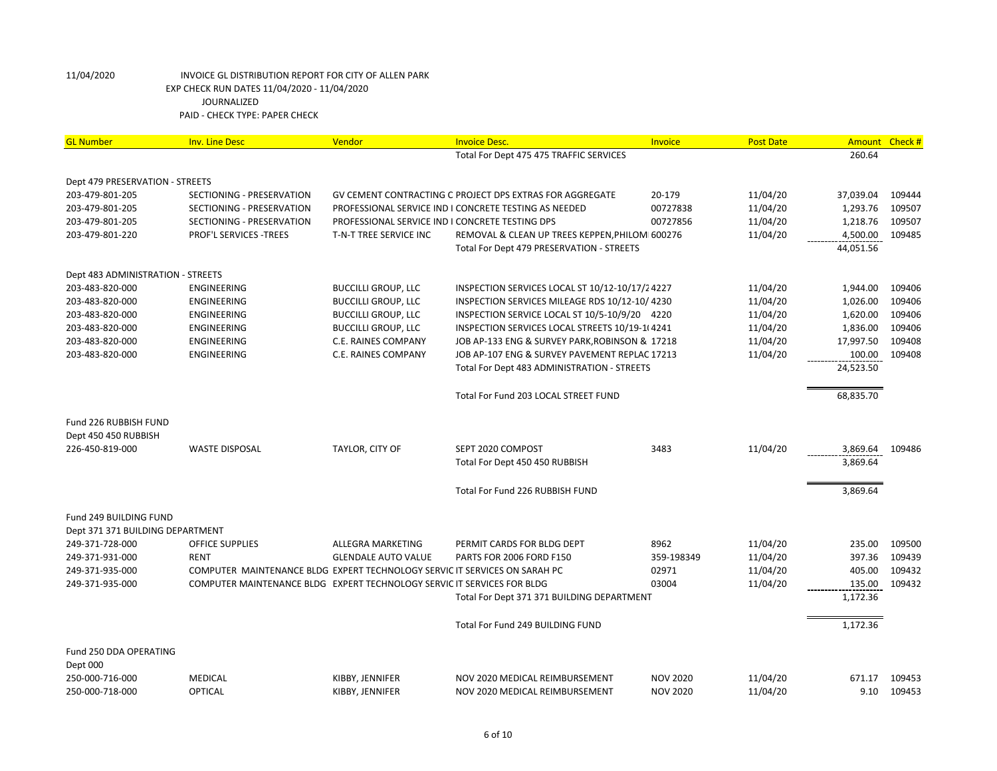| <b>GL Number</b>                  | <b>Inv. Line Desc</b>                                                      | Vendor                                          | <b>Invoice Desc.</b>                                     | Invoice         | <b>Post Date</b>     | Amount Check # |        |
|-----------------------------------|----------------------------------------------------------------------------|-------------------------------------------------|----------------------------------------------------------|-----------------|----------------------|----------------|--------|
|                                   |                                                                            |                                                 | Total For Dept 475 475 TRAFFIC SERVICES                  |                 |                      | 260.64         |        |
|                                   |                                                                            |                                                 |                                                          |                 |                      |                |        |
| Dept 479 PRESERVATION - STREETS   |                                                                            |                                                 |                                                          |                 |                      |                |        |
| 203-479-801-205                   | SECTIONING - PRESERVATION                                                  |                                                 | GV CEMENT CONTRACTING C PROJECT DPS EXTRAS FOR AGGREGATE | 20-179          | 11/04/20             | 37,039.04      | 109444 |
| 203-479-801-205                   | SECTIONING - PRESERVATION                                                  |                                                 | PROFESSIONAL SERVICE IND I CONCRETE TESTING AS NEEDED    | 00727838        | 11/04/20             | 1,293.76       | 109507 |
| 203-479-801-205                   | SECTIONING - PRESERVATION                                                  | PROFESSIONAL SERVICE IND I CONCRETE TESTING DPS |                                                          | 00727856        | 11/04/20             | 1,218.76       | 109507 |
| 203-479-801-220                   | <b>PROF'L SERVICES -TREES</b>                                              | T-N-T TREE SERVICE INC                          | REMOVAL & CLEAN UP TREES KEPPEN, PHILOMI 600276          |                 | 11/04/20             | 4,500.00       | 109485 |
|                                   |                                                                            |                                                 | Total For Dept 479 PRESERVATION - STREETS                |                 |                      | 44,051.56      |        |
| Dept 483 ADMINISTRATION - STREETS |                                                                            |                                                 |                                                          |                 |                      |                |        |
| 203-483-820-000                   | <b>ENGINEERING</b>                                                         | <b>BUCCILLI GROUP, LLC</b>                      | INSPECTION SERVICES LOCAL ST 10/12-10/17/24227           |                 | 11/04/20             | 1,944.00       | 109406 |
| 203-483-820-000                   | ENGINEERING                                                                | <b>BUCCILLI GROUP, LLC</b>                      | INSPECTION SERVICES MILEAGE RDS 10/12-10/4230            |                 | 11/04/20             | 1,026.00       | 109406 |
| 203-483-820-000                   | <b>ENGINEERING</b>                                                         | <b>BUCCILLI GROUP, LLC</b>                      | INSPECTION SERVICE LOCAL ST 10/5-10/9/20 4220            |                 | 11/04/20             | 1,620.00       | 109406 |
| 203-483-820-000                   | ENGINEERING                                                                | <b>BUCCILLI GROUP, LLC</b>                      | INSPECTION SERVICES LOCAL STREETS 10/19-1(4241           |                 | 11/04/20             | 1,836.00       | 109406 |
| 203-483-820-000                   | <b>ENGINEERING</b>                                                         | C.E. RAINES COMPANY                             | JOB AP-133 ENG & SURVEY PARK, ROBINSON & 17218           |                 | 11/04/20             | 17,997.50      | 109408 |
| 203-483-820-000                   | ENGINEERING                                                                | C.E. RAINES COMPANY                             | JOB AP-107 ENG & SURVEY PAVEMENT REPLAC 17213            |                 | 11/04/20             | 100.00         | 109408 |
|                                   |                                                                            |                                                 | Total For Dept 483 ADMINISTRATION - STREETS              |                 |                      | 24,523.50      |        |
|                                   |                                                                            |                                                 |                                                          |                 |                      |                |        |
|                                   |                                                                            |                                                 | Total For Fund 203 LOCAL STREET FUND                     |                 |                      | 68,835.70      |        |
| Fund 226 RUBBISH FUND             |                                                                            |                                                 |                                                          |                 |                      |                |        |
| Dept 450 450 RUBBISH              |                                                                            |                                                 |                                                          |                 |                      |                |        |
| 226-450-819-000                   | <b>WASTE DISPOSAL</b>                                                      | TAYLOR, CITY OF                                 | SEPT 2020 COMPOST                                        | 3483            | 11/04/20             | 3,869.64       | 109486 |
|                                   |                                                                            |                                                 | Total For Dept 450 450 RUBBISH                           |                 |                      | 3,869.64       |        |
|                                   |                                                                            |                                                 |                                                          |                 |                      |                |        |
|                                   |                                                                            |                                                 | Total For Fund 226 RUBBISH FUND                          |                 |                      | 3,869.64       |        |
| Fund 249 BUILDING FUND            |                                                                            |                                                 |                                                          |                 |                      |                |        |
| Dept 371 371 BUILDING DEPARTMENT  |                                                                            |                                                 |                                                          |                 |                      |                |        |
| 249-371-728-000                   | OFFICE SUPPLIES                                                            |                                                 | PERMIT CARDS FOR BLDG DEPT                               | 8962            |                      | 235.00         | 109500 |
| 249-371-931-000                   | <b>RENT</b>                                                                | ALLEGRA MARKETING<br><b>GLENDALE AUTO VALUE</b> | PARTS FOR 2006 FORD F150                                 | 359-198349      | 11/04/20             | 397.36         | 109439 |
|                                   |                                                                            |                                                 |                                                          | 02971           | 11/04/20<br>11/04/20 | 405.00         | 109432 |
| 249-371-935-000                   | COMPUTER MAINTENANCE BLDG EXPERT TECHNOLOGY SERVIC IT SERVICES ON SARAH PC |                                                 |                                                          |                 |                      |                |        |
| 249-371-935-000                   | COMPUTER MAINTENANCE BLDG EXPERT TECHNOLOGY SERVIC IT SERVICES FOR BLDG    |                                                 |                                                          | 03004           | 11/04/20             | 135.00         | 109432 |
|                                   |                                                                            |                                                 | Total For Dept 371 371 BUILDING DEPARTMENT               |                 |                      | 1,172.36       |        |
|                                   |                                                                            |                                                 | Total For Fund 249 BUILDING FUND                         |                 |                      | 1,172.36       |        |
| Fund 250 DDA OPERATING            |                                                                            |                                                 |                                                          |                 |                      |                |        |
| Dept 000                          |                                                                            |                                                 |                                                          |                 |                      |                |        |
| 250-000-716-000                   | MEDICAL                                                                    | KIBBY, JENNIFER                                 | NOV 2020 MEDICAL REIMBURSEMENT                           | <b>NOV 2020</b> | 11/04/20             | 671.17         | 109453 |
| 250-000-718-000                   | <b>OPTICAL</b>                                                             | KIBBY, JENNIFER                                 | NOV 2020 MEDICAL REIMBURSEMENT                           | <b>NOV 2020</b> | 11/04/20             | 9.10           | 109453 |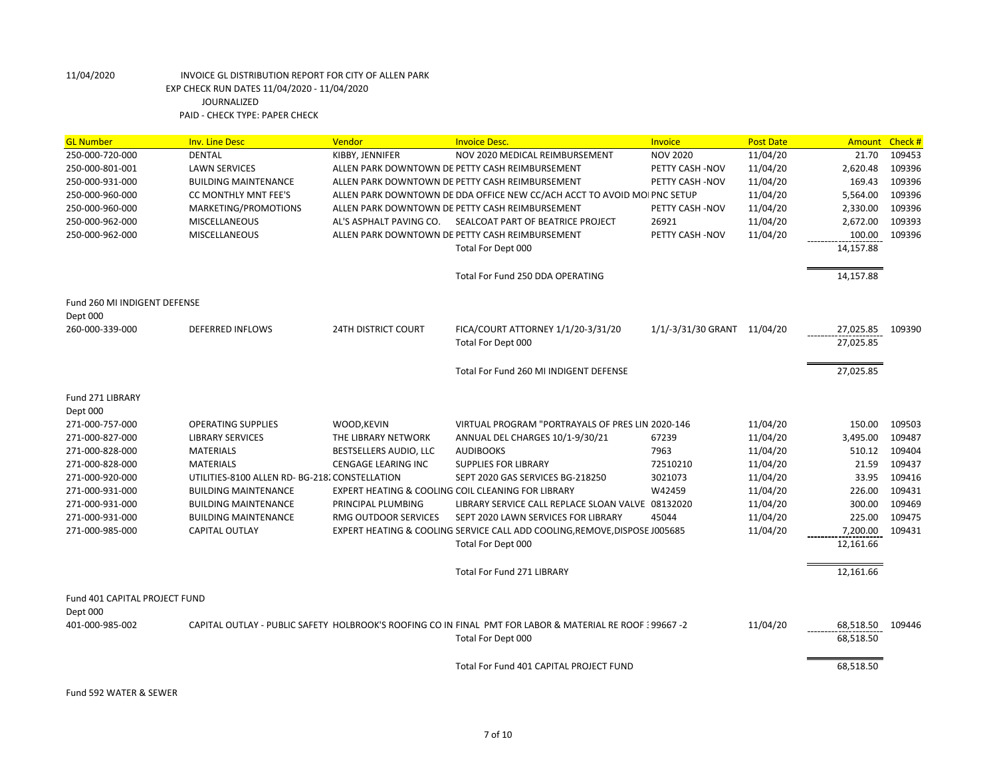| <b>GL Number</b>              | <b>Inv. Line Desc</b>                          | Vendor                     | <b>Invoice Desc.</b>                                                                                       | Invoice                     | <b>Post Date</b> | <b>Amount</b> | Check # |
|-------------------------------|------------------------------------------------|----------------------------|------------------------------------------------------------------------------------------------------------|-----------------------------|------------------|---------------|---------|
| 250-000-720-000               | <b>DENTAL</b>                                  | KIBBY, JENNIFER            | NOV 2020 MEDICAL REIMBURSEMENT                                                                             | <b>NOV 2020</b>             | 11/04/20         | 21.70         | 109453  |
| 250-000-801-001               | <b>LAWN SERVICES</b>                           |                            | ALLEN PARK DOWNTOWN DE PETTY CASH REIMBURSEMENT                                                            | PETTY CASH -NOV             | 11/04/20         | 2,620.48      | 109396  |
| 250-000-931-000               | <b>BUILDING MAINTENANCE</b>                    |                            | ALLEN PARK DOWNTOWN DE PETTY CASH REIMBURSEMENT                                                            | PETTY CASH -NOV             | 11/04/20         | 169.43        | 109396  |
| 250-000-960-000               | CC MONTHLY MNT FEE'S                           |                            | ALLEN PARK DOWNTOWN DE DDA OFFICE NEW CC/ACH ACCT TO AVOID MOI PNC SETUP                                   |                             | 11/04/20         | 5,564.00      | 109396  |
| 250-000-960-000               | MARKETING/PROMOTIONS                           |                            | ALLEN PARK DOWNTOWN DE PETTY CASH REIMBURSEMENT                                                            | PETTY CASH -NOV             | 11/04/20         | 2,330.00      | 109396  |
| 250-000-962-000               | <b>MISCELLANEOUS</b>                           | AL'S ASPHALT PAVING CO.    | SEALCOAT PART OF BEATRICE PROJECT                                                                          | 26921                       | 11/04/20         | 2,672.00      | 109393  |
| 250-000-962-000               | <b>MISCELLANEOUS</b>                           |                            | ALLEN PARK DOWNTOWN DE PETTY CASH REIMBURSEMENT                                                            | PETTY CASH -NOV             | 11/04/20         | 100.00        | 109396  |
|                               |                                                |                            | Total For Dept 000                                                                                         |                             |                  | 14,157.88     |         |
|                               |                                                |                            | Total For Fund 250 DDA OPERATING                                                                           |                             |                  | 14,157.88     |         |
|                               |                                                |                            |                                                                                                            |                             |                  |               |         |
| Fund 260 MI INDIGENT DEFENSE  |                                                |                            |                                                                                                            |                             |                  |               |         |
| Dept 000                      |                                                |                            |                                                                                                            |                             |                  |               |         |
| 260-000-339-000               | <b>DEFERRED INFLOWS</b>                        | <b>24TH DISTRICT COURT</b> | FICA/COURT ATTORNEY 1/1/20-3/31/20                                                                         | 1/1/-3/31/30 GRANT 11/04/20 |                  | 27,025.85     | 109390  |
|                               |                                                |                            | Total For Dept 000                                                                                         |                             |                  | 27,025.85     |         |
|                               |                                                |                            | Total For Fund 260 MI INDIGENT DEFENSE                                                                     |                             |                  | 27,025.85     |         |
| Fund 271 LIBRARY              |                                                |                            |                                                                                                            |                             |                  |               |         |
| Dept 000                      |                                                |                            |                                                                                                            |                             |                  |               |         |
| 271-000-757-000               | <b>OPERATING SUPPLIES</b>                      | WOOD, KEVIN                | VIRTUAL PROGRAM "PORTRAYALS OF PRES LIN 2020-146                                                           |                             | 11/04/20         | 150.00        | 109503  |
| 271-000-827-000               | <b>LIBRARY SERVICES</b>                        | THE LIBRARY NETWORK        | ANNUAL DEL CHARGES 10/1-9/30/21                                                                            | 67239                       | 11/04/20         | 3,495.00      | 109487  |
| 271-000-828-000               | <b>MATERIALS</b>                               | BESTSELLERS AUDIO, LLC     | <b>AUDIBOOKS</b>                                                                                           | 7963                        | 11/04/20         | 510.12        | 109404  |
| 271-000-828-000               | <b>MATERIALS</b>                               | <b>CENGAGE LEARING INC</b> | <b>SUPPLIES FOR LIBRARY</b>                                                                                | 72510210                    | 11/04/20         | 21.59         | 109437  |
| 271-000-920-000               | UTILITIES-8100 ALLEN RD- BG-218. CONSTELLATION |                            | SEPT 2020 GAS SERVICES BG-218250                                                                           | 3021073                     | 11/04/20         | 33.95         | 109416  |
| 271-000-931-000               | <b>BUILDING MAINTENANCE</b>                    |                            | EXPERT HEATING & COOLING COIL CLEANING FOR LIBRARY                                                         | W42459                      | 11/04/20         | 226.00        | 109431  |
| 271-000-931-000               | <b>BUILDING MAINTENANCE</b>                    | PRINCIPAL PLUMBING         | LIBRARY SERVICE CALL REPLACE SLOAN VALVE 08132020                                                          |                             | 11/04/20         | 300.00        | 109469  |
| 271-000-931-000               | <b>BUILDING MAINTENANCE</b>                    | RMG OUTDOOR SERVICES       | SEPT 2020 LAWN SERVICES FOR LIBRARY                                                                        | 45044                       | 11/04/20         | 225.00        | 109475  |
| 271-000-985-000               | <b>CAPITAL OUTLAY</b>                          |                            | EXPERT HEATING & COOLING SERVICE CALL ADD COOLING, REMOVE, DISPOSE J005685                                 |                             | 11/04/20         | 7,200.00      | 109431  |
|                               |                                                |                            | Total For Dept 000                                                                                         |                             |                  | 12,161.66     |         |
|                               |                                                |                            | Total For Fund 271 LIBRARY                                                                                 |                             |                  | 12,161.66     |         |
| Fund 401 CAPITAL PROJECT FUND |                                                |                            |                                                                                                            |                             |                  |               |         |
| Dept 000                      |                                                |                            |                                                                                                            |                             |                  |               |         |
| 401-000-985-002               |                                                |                            | CAPITAL OUTLAY - PUBLIC SAFETY HOLBROOK'S ROOFING CO IN FINAL PMT FOR LABOR & MATERIAL RE ROOF 5 99667 - 2 |                             | 11/04/20         | 68,518.50     | 109446  |
|                               |                                                |                            | Total For Dept 000                                                                                         |                             |                  | 68,518.50     |         |
|                               |                                                |                            | Total For Fund 401 CAPITAL PROJECT FUND                                                                    |                             |                  | 68,518.50     |         |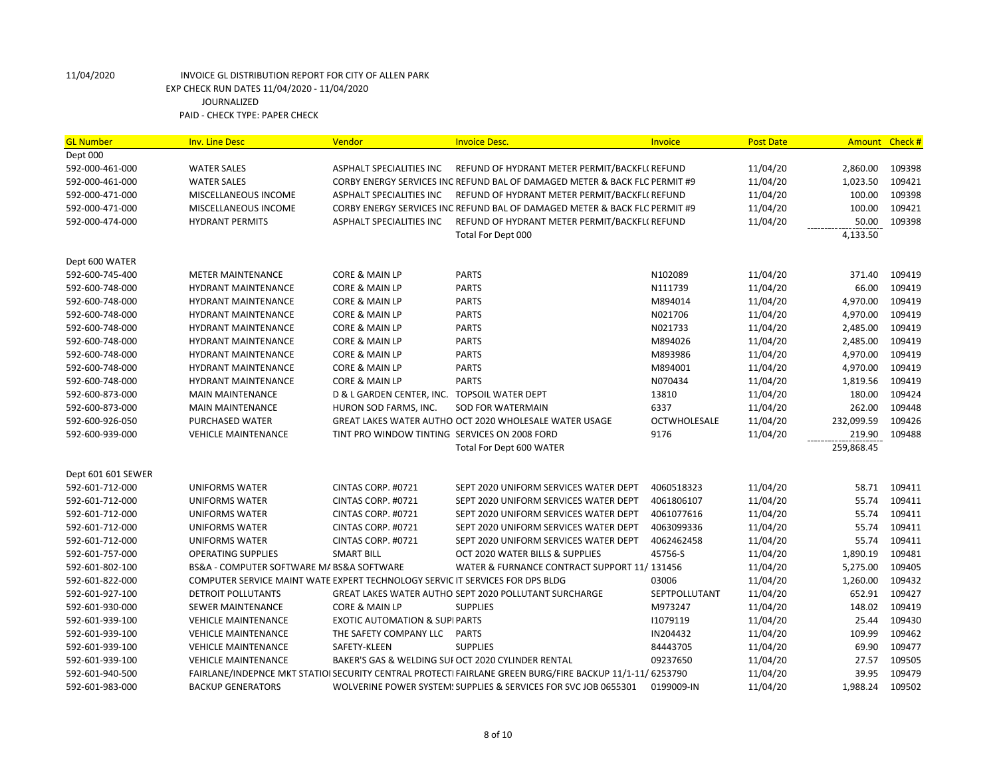| <b>GL Number</b>   | <b>Inv. Line Desc</b>                                                         | Vendor                                        | <b>Invoice Desc.</b>                                                                                     | Invoice       | <b>Post Date</b> | Amount     | Check# |
|--------------------|-------------------------------------------------------------------------------|-----------------------------------------------|----------------------------------------------------------------------------------------------------------|---------------|------------------|------------|--------|
| Dept 000           |                                                                               |                                               |                                                                                                          |               |                  |            |        |
| 592-000-461-000    | <b>WATER SALES</b>                                                            | ASPHALT SPECIALITIES INC                      | REFUND OF HYDRANT METER PERMIT/BACKFL(REFUND                                                             |               | 11/04/20         | 2,860.00   | 109398 |
| 592-000-461-000    | <b>WATER SALES</b>                                                            |                                               | CORBY ENERGY SERVICES INC REFUND BAL OF DAMAGED METER & BACK FLO PERMIT #9                               |               | 11/04/20         | 1,023.50   | 109421 |
| 592-000-471-000    | MISCELLANEOUS INCOME                                                          | ASPHALT SPECIALITIES INC                      | REFUND OF HYDRANT METER PERMIT/BACKFL(REFUND                                                             |               | 11/04/20         | 100.00     | 109398 |
| 592-000-471-000    | MISCELLANEOUS INCOME                                                          |                                               | CORBY ENERGY SERVICES INC REFUND BAL OF DAMAGED METER & BACK FLO PERMIT #9                               |               | 11/04/20         | 100.00     | 109421 |
| 592-000-474-000    | <b>HYDRANT PERMITS</b>                                                        | <b>ASPHALT SPECIALITIES INC</b>               | REFUND OF HYDRANT METER PERMIT/BACKFL(REFUND                                                             |               | 11/04/20         | 50.00      | 109398 |
|                    |                                                                               |                                               | Total For Dept 000                                                                                       |               |                  | 4,133.50   |        |
|                    |                                                                               |                                               |                                                                                                          |               |                  |            |        |
| Dept 600 WATER     |                                                                               |                                               |                                                                                                          |               |                  |            |        |
| 592-600-745-400    | <b>METER MAINTENANCE</b>                                                      | CORE & MAIN LP                                | <b>PARTS</b>                                                                                             | N102089       | 11/04/20         | 371.40     | 109419 |
| 592-600-748-000    | <b>HYDRANT MAINTENANCE</b>                                                    | CORE & MAIN LP                                | <b>PARTS</b>                                                                                             | N111739       | 11/04/20         | 66.00      | 109419 |
| 592-600-748-000    | <b>HYDRANT MAINTENANCE</b>                                                    | <b>CORE &amp; MAIN LP</b>                     | <b>PARTS</b>                                                                                             | M894014       | 11/04/20         | 4,970.00   | 109419 |
| 592-600-748-000    | <b>HYDRANT MAINTENANCE</b>                                                    | CORE & MAIN LP                                | <b>PARTS</b>                                                                                             | N021706       | 11/04/20         | 4,970.00   | 109419 |
| 592-600-748-000    | <b>HYDRANT MAINTENANCE</b>                                                    | CORE & MAIN LP                                | <b>PARTS</b>                                                                                             | N021733       | 11/04/20         | 2,485.00   | 109419 |
| 592-600-748-000    | HYDRANT MAINTENANCE                                                           | CORE & MAIN LP                                | <b>PARTS</b>                                                                                             | M894026       | 11/04/20         | 2,485.00   | 109419 |
| 592-600-748-000    | HYDRANT MAINTENANCE                                                           | CORE & MAIN LP                                | <b>PARTS</b>                                                                                             | M893986       | 11/04/20         | 4,970.00   | 109419 |
| 592-600-748-000    | <b>HYDRANT MAINTENANCE</b>                                                    | CORE & MAIN LP                                | <b>PARTS</b>                                                                                             | M894001       | 11/04/20         | 4,970.00   | 109419 |
| 592-600-748-000    | <b>HYDRANT MAINTENANCE</b>                                                    | CORE & MAIN LP                                | <b>PARTS</b>                                                                                             | N070434       | 11/04/20         | 1,819.56   | 109419 |
| 592-600-873-000    | <b>MAIN MAINTENANCE</b>                                                       | D & L GARDEN CENTER, INC. TOPSOIL WATER DEPT  |                                                                                                          | 13810         | 11/04/20         | 180.00     | 109424 |
| 592-600-873-000    | <b>MAIN MAINTENANCE</b>                                                       | HURON SOD FARMS, INC.                         | <b>SOD FOR WATERMAIN</b>                                                                                 | 6337          | 11/04/20         | 262.00     | 109448 |
| 592-600-926-050    | PURCHASED WATER                                                               |                                               | GREAT LAKES WATER AUTHO OCT 2020 WHOLESALE WATER USAGE                                                   | OCTWHOLESALE  | 11/04/20         | 232,099.59 | 109426 |
| 592-600-939-000    | <b>VEHICLE MAINTENANCE</b>                                                    | TINT PRO WINDOW TINTING SERVICES ON 2008 FORD |                                                                                                          | 9176          | 11/04/20         | 219.90     | 109488 |
|                    |                                                                               |                                               | Total For Dept 600 WATER                                                                                 |               |                  | 259,868.45 |        |
|                    |                                                                               |                                               |                                                                                                          |               |                  |            |        |
| Dept 601 601 SEWER |                                                                               |                                               |                                                                                                          |               |                  |            |        |
| 592-601-712-000    | <b>UNIFORMS WATER</b>                                                         | CINTAS CORP. #0721                            | SEPT 2020 UNIFORM SERVICES WATER DEPT                                                                    | 4060518323    | 11/04/20         | 58.71      | 109411 |
| 592-601-712-000    | <b>UNIFORMS WATER</b>                                                         | CINTAS CORP. #0721                            | SEPT 2020 UNIFORM SERVICES WATER DEPT                                                                    | 4061806107    | 11/04/20         | 55.74      | 109411 |
| 592-601-712-000    | <b>UNIFORMS WATER</b>                                                         | CINTAS CORP. #0721                            | SEPT 2020 UNIFORM SERVICES WATER DEPT                                                                    | 4061077616    | 11/04/20         | 55.74      | 109411 |
| 592-601-712-000    | UNIFORMS WATER                                                                | CINTAS CORP. #0721                            | SEPT 2020 UNIFORM SERVICES WATER DEPT                                                                    | 4063099336    | 11/04/20         | 55.74      | 109411 |
| 592-601-712-000    | <b>UNIFORMS WATER</b>                                                         | CINTAS CORP. #0721                            | SEPT 2020 UNIFORM SERVICES WATER DEPT                                                                    | 4062462458    | 11/04/20         | 55.74      | 109411 |
| 592-601-757-000    | <b>OPERATING SUPPLIES</b>                                                     | <b>SMART BILL</b>                             | OCT 2020 WATER BILLS & SUPPLIES                                                                          | 45756-S       | 11/04/20         | 1,890.19   | 109481 |
| 592-601-802-100    | BS&A - COMPUTER SOFTWARE M/ BS&A SOFTWARE                                     |                                               | WATER & FURNANCE CONTRACT SUPPORT 11/131456                                                              |               | 11/04/20         | 5,275.00   | 109405 |
| 592-601-822-000    | COMPUTER SERVICE MAINT WATE EXPERT TECHNOLOGY SERVIC IT SERVICES FOR DPS BLDG |                                               |                                                                                                          | 03006         | 11/04/20         | 1,260.00   | 109432 |
| 592-601-927-100    | DETROIT POLLUTANTS                                                            |                                               | <b>GREAT LAKES WATER AUTHO SEPT 2020 POLLUTANT SURCHARGE</b>                                             | SEPTPOLLUTANT | 11/04/20         | 652.91     | 109427 |
| 592-601-930-000    | <b>SEWER MAINTENANCE</b>                                                      | CORE & MAIN LP                                | <b>SUPPLIES</b>                                                                                          | M973247       | 11/04/20         | 148.02     | 109419 |
| 592-601-939-100    | <b>VEHICLE MAINTENANCE</b>                                                    | <b>EXOTIC AUTOMATION &amp; SUPIPARTS</b>      |                                                                                                          | 11079119      | 11/04/20         | 25.44      | 109430 |
| 592-601-939-100    | <b>VEHICLE MAINTENANCE</b>                                                    | THE SAFETY COMPANY LLC                        | <b>PARTS</b>                                                                                             | IN204432      | 11/04/20         | 109.99     | 109462 |
| 592-601-939-100    | <b>VEHICLE MAINTENANCE</b>                                                    | SAFETY-KLEEN                                  | <b>SUPPLIES</b>                                                                                          | 84443705      | 11/04/20         | 69.90      | 109477 |
| 592-601-939-100    | <b>VEHICLE MAINTENANCE</b>                                                    |                                               | BAKER'S GAS & WELDING SUI OCT 2020 CYLINDER RENTAL                                                       | 09237650      | 11/04/20         | 27.57      | 109505 |
| 592-601-940-500    |                                                                               |                                               | FAIRLANE/INDEPNCE MKT STATIOI SECURITY CENTRAL PROTECTI FAIRLANE GREEN BURG/FIRE BACKUP 11/1-11/ 6253790 |               | 11/04/20         | 39.95      | 109479 |
| 592-601-983-000    | <b>BACKUP GENERATORS</b>                                                      |                                               | WOLVERINE POWER SYSTEM! SUPPLIES & SERVICES FOR SVC JOB 0655301                                          | 0199009-IN    | 11/04/20         | 1,988.24   | 109502 |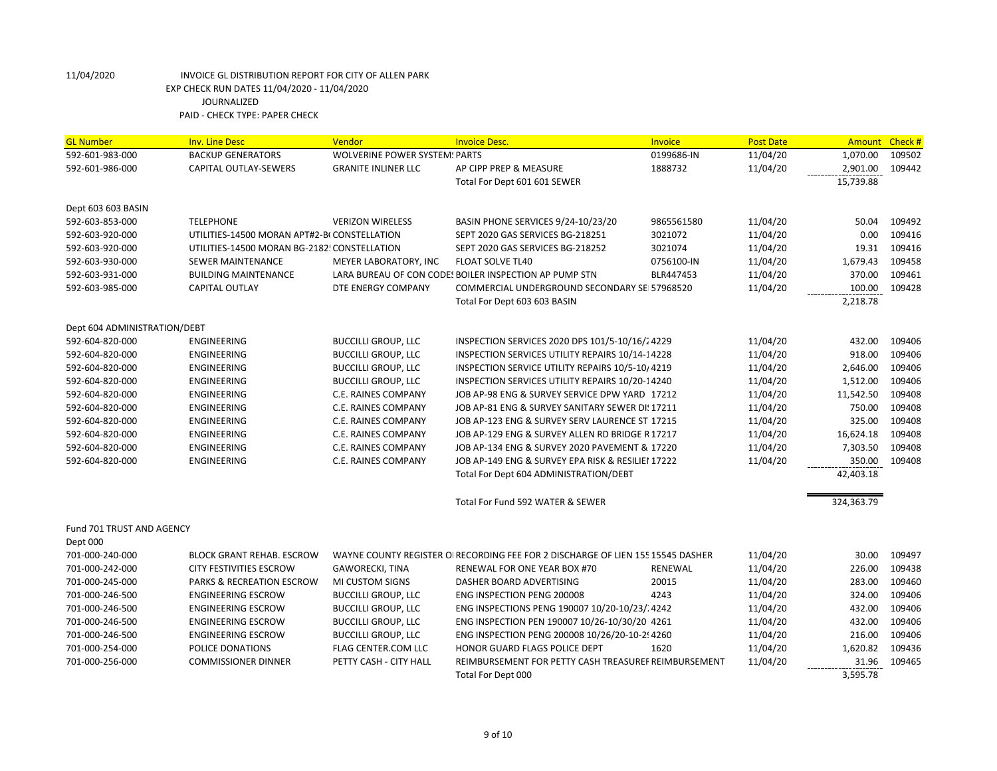| 11/04/20<br>592-601-983-000<br><b>BACKUP GENERATORS</b><br><b>WOLVERINE POWER SYSTEM: PARTS</b><br>0199686-IN<br>1,070.00<br>109502<br>592-601-986-000<br>CAPITAL OUTLAY-SEWERS<br><b>GRANITE INLINER LLC</b><br>AP CIPP PREP & MEASURE<br>1888732<br>11/04/20<br>2,901.00<br>109442<br>15,739.88<br>Total For Dept 601 601 SEWER<br>Dept 603 603 BASIN<br>592-603-853-000<br><b>TELEPHONE</b><br>BASIN PHONE SERVICES 9/24-10/23/20<br>11/04/20<br>109492<br><b>VERIZON WIRELESS</b><br>9865561580<br>50.04<br>0.00<br>109416<br>592-603-920-000<br>UTILITIES-14500 MORAN APT#2-B(CONSTELLATION<br>SEPT 2020 GAS SERVICES BG-218251<br>3021072<br>11/04/20<br>11/04/20<br>19.31<br>109416<br>592-603-920-000<br>UTILITIES-14500 MORAN BG-2182! CONSTELLATION<br>SEPT 2020 GAS SERVICES BG-218252<br>3021074<br>11/04/20<br>109458<br>592-603-930-000<br>SEWER MAINTENANCE<br>MEYER LABORATORY, INC<br><b>FLOAT SOLVE TL40</b><br>0756100-IN<br>1,679.43<br>370.00<br>109461<br>592-603-931-000<br><b>BUILDING MAINTENANCE</b><br>LARA BUREAU OF CON CODE! BOILER INSPECTION AP PUMP STN<br>BLR447453<br>11/04/20<br><b>CAPITAL OUTLAY</b><br>DTE ENERGY COMPANY<br>COMMERCIAL UNDERGROUND SECONDARY SEI 57968520<br>11/04/20<br>100.00<br>109428<br>592-603-985-000<br>2,218.78<br>Total For Dept 603 603 BASIN<br>Dept 604 ADMINISTRATION/DEBT<br><b>BUCCILLI GROUP, LLC</b><br>11/04/20<br>432.00<br>109406<br>592-604-820-000<br>ENGINEERING<br>INSPECTION SERVICES 2020 DPS 101/5-10/16/24229<br>918.00<br>109406<br><b>ENGINEERING</b><br><b>BUCCILLI GROUP, LLC</b><br>11/04/20<br>592-604-820-000<br>INSPECTION SERVICES UTILITY REPAIRS 10/14-14228 | <b>GL Number</b> | <b>Inv. Line Desc</b> | Vendor | <b>Invoice Desc.</b> | <b>Invoice</b> | <b>Post Date</b> | Amount | Check # |
|--------------------------------------------------------------------------------------------------------------------------------------------------------------------------------------------------------------------------------------------------------------------------------------------------------------------------------------------------------------------------------------------------------------------------------------------------------------------------------------------------------------------------------------------------------------------------------------------------------------------------------------------------------------------------------------------------------------------------------------------------------------------------------------------------------------------------------------------------------------------------------------------------------------------------------------------------------------------------------------------------------------------------------------------------------------------------------------------------------------------------------------------------------------------------------------------------------------------------------------------------------------------------------------------------------------------------------------------------------------------------------------------------------------------------------------------------------------------------------------------------------------------------------------------------------------------------------------------------------------------------------------------------------------|------------------|-----------------------|--------|----------------------|----------------|------------------|--------|---------|
|                                                                                                                                                                                                                                                                                                                                                                                                                                                                                                                                                                                                                                                                                                                                                                                                                                                                                                                                                                                                                                                                                                                                                                                                                                                                                                                                                                                                                                                                                                                                                                                                                                                              |                  |                       |        |                      |                |                  |        |         |
|                                                                                                                                                                                                                                                                                                                                                                                                                                                                                                                                                                                                                                                                                                                                                                                                                                                                                                                                                                                                                                                                                                                                                                                                                                                                                                                                                                                                                                                                                                                                                                                                                                                              |                  |                       |        |                      |                |                  |        |         |
|                                                                                                                                                                                                                                                                                                                                                                                                                                                                                                                                                                                                                                                                                                                                                                                                                                                                                                                                                                                                                                                                                                                                                                                                                                                                                                                                                                                                                                                                                                                                                                                                                                                              |                  |                       |        |                      |                |                  |        |         |
|                                                                                                                                                                                                                                                                                                                                                                                                                                                                                                                                                                                                                                                                                                                                                                                                                                                                                                                                                                                                                                                                                                                                                                                                                                                                                                                                                                                                                                                                                                                                                                                                                                                              |                  |                       |        |                      |                |                  |        |         |
|                                                                                                                                                                                                                                                                                                                                                                                                                                                                                                                                                                                                                                                                                                                                                                                                                                                                                                                                                                                                                                                                                                                                                                                                                                                                                                                                                                                                                                                                                                                                                                                                                                                              |                  |                       |        |                      |                |                  |        |         |
|                                                                                                                                                                                                                                                                                                                                                                                                                                                                                                                                                                                                                                                                                                                                                                                                                                                                                                                                                                                                                                                                                                                                                                                                                                                                                                                                                                                                                                                                                                                                                                                                                                                              |                  |                       |        |                      |                |                  |        |         |
|                                                                                                                                                                                                                                                                                                                                                                                                                                                                                                                                                                                                                                                                                                                                                                                                                                                                                                                                                                                                                                                                                                                                                                                                                                                                                                                                                                                                                                                                                                                                                                                                                                                              |                  |                       |        |                      |                |                  |        |         |
|                                                                                                                                                                                                                                                                                                                                                                                                                                                                                                                                                                                                                                                                                                                                                                                                                                                                                                                                                                                                                                                                                                                                                                                                                                                                                                                                                                                                                                                                                                                                                                                                                                                              |                  |                       |        |                      |                |                  |        |         |
|                                                                                                                                                                                                                                                                                                                                                                                                                                                                                                                                                                                                                                                                                                                                                                                                                                                                                                                                                                                                                                                                                                                                                                                                                                                                                                                                                                                                                                                                                                                                                                                                                                                              |                  |                       |        |                      |                |                  |        |         |
|                                                                                                                                                                                                                                                                                                                                                                                                                                                                                                                                                                                                                                                                                                                                                                                                                                                                                                                                                                                                                                                                                                                                                                                                                                                                                                                                                                                                                                                                                                                                                                                                                                                              |                  |                       |        |                      |                |                  |        |         |
|                                                                                                                                                                                                                                                                                                                                                                                                                                                                                                                                                                                                                                                                                                                                                                                                                                                                                                                                                                                                                                                                                                                                                                                                                                                                                                                                                                                                                                                                                                                                                                                                                                                              |                  |                       |        |                      |                |                  |        |         |
|                                                                                                                                                                                                                                                                                                                                                                                                                                                                                                                                                                                                                                                                                                                                                                                                                                                                                                                                                                                                                                                                                                                                                                                                                                                                                                                                                                                                                                                                                                                                                                                                                                                              |                  |                       |        |                      |                |                  |        |         |
|                                                                                                                                                                                                                                                                                                                                                                                                                                                                                                                                                                                                                                                                                                                                                                                                                                                                                                                                                                                                                                                                                                                                                                                                                                                                                                                                                                                                                                                                                                                                                                                                                                                              |                  |                       |        |                      |                |                  |        |         |
|                                                                                                                                                                                                                                                                                                                                                                                                                                                                                                                                                                                                                                                                                                                                                                                                                                                                                                                                                                                                                                                                                                                                                                                                                                                                                                                                                                                                                                                                                                                                                                                                                                                              |                  |                       |        |                      |                |                  |        |         |
| 592-604-820-000<br>ENGINEERING<br><b>BUCCILLI GROUP, LLC</b><br>INSPECTION SERVICE UTILITY REPAIRS 10/5-10/4219<br>11/04/20<br>2,646.00                                                                                                                                                                                                                                                                                                                                                                                                                                                                                                                                                                                                                                                                                                                                                                                                                                                                                                                                                                                                                                                                                                                                                                                                                                                                                                                                                                                                                                                                                                                      |                  |                       |        |                      |                |                  |        | 109406  |
| 109406<br>592-604-820-000<br><b>ENGINEERING</b><br><b>BUCCILLI GROUP, LLC</b><br>INSPECTION SERVICES UTILITY REPAIRS 10/20-14240<br>11/04/20<br>1,512.00                                                                                                                                                                                                                                                                                                                                                                                                                                                                                                                                                                                                                                                                                                                                                                                                                                                                                                                                                                                                                                                                                                                                                                                                                                                                                                                                                                                                                                                                                                     |                  |                       |        |                      |                |                  |        |         |
| <b>ENGINEERING</b><br>C.E. RAINES COMPANY<br>11/04/20<br>11,542.50<br>109408<br>592-604-820-000<br>JOB AP-98 ENG & SURVEY SERVICE DPW YARD 17212                                                                                                                                                                                                                                                                                                                                                                                                                                                                                                                                                                                                                                                                                                                                                                                                                                                                                                                                                                                                                                                                                                                                                                                                                                                                                                                                                                                                                                                                                                             |                  |                       |        |                      |                |                  |        |         |
| 109408<br>ENGINEERING<br>C.E. RAINES COMPANY<br>JOB AP-81 ENG & SURVEY SANITARY SEWER DI: 17211<br>11/04/20<br>750.00<br>592-604-820-000                                                                                                                                                                                                                                                                                                                                                                                                                                                                                                                                                                                                                                                                                                                                                                                                                                                                                                                                                                                                                                                                                                                                                                                                                                                                                                                                                                                                                                                                                                                     |                  |                       |        |                      |                |                  |        |         |
| 325.00<br>109408<br>ENGINEERING<br>592-604-820-000<br>C.E. RAINES COMPANY<br>JOB AP-123 ENG & SURVEY SERV LAURENCE ST 17215<br>11/04/20                                                                                                                                                                                                                                                                                                                                                                                                                                                                                                                                                                                                                                                                                                                                                                                                                                                                                                                                                                                                                                                                                                                                                                                                                                                                                                                                                                                                                                                                                                                      |                  |                       |        |                      |                |                  |        |         |
| 16,624.18<br>109408<br>ENGINEERING<br>C.E. RAINES COMPANY<br>11/04/20<br>592-604-820-000<br>JOB AP-129 ENG & SURVEY ALLEN RD BRIDGE R17217                                                                                                                                                                                                                                                                                                                                                                                                                                                                                                                                                                                                                                                                                                                                                                                                                                                                                                                                                                                                                                                                                                                                                                                                                                                                                                                                                                                                                                                                                                                   |                  |                       |        |                      |                |                  |        |         |
| 7,303.50<br>109408<br>592-604-820-000<br><b>ENGINEERING</b><br><b>C.E. RAINES COMPANY</b><br>11/04/20<br>JOB AP-134 ENG & SURVEY 2020 PAVEMENT & 17220                                                                                                                                                                                                                                                                                                                                                                                                                                                                                                                                                                                                                                                                                                                                                                                                                                                                                                                                                                                                                                                                                                                                                                                                                                                                                                                                                                                                                                                                                                       |                  |                       |        |                      |                |                  |        |         |
| <b>ENGINEERING</b><br>C.E. RAINES COMPANY<br>JOB AP-149 ENG & SURVEY EPA RISK & RESILIEI 17222<br>11/04/20<br>350.00<br>109408<br>592-604-820-000                                                                                                                                                                                                                                                                                                                                                                                                                                                                                                                                                                                                                                                                                                                                                                                                                                                                                                                                                                                                                                                                                                                                                                                                                                                                                                                                                                                                                                                                                                            |                  |                       |        |                      |                |                  |        |         |
| 42,403.18<br>Total For Dept 604 ADMINISTRATION/DEBT                                                                                                                                                                                                                                                                                                                                                                                                                                                                                                                                                                                                                                                                                                                                                                                                                                                                                                                                                                                                                                                                                                                                                                                                                                                                                                                                                                                                                                                                                                                                                                                                          |                  |                       |        |                      |                |                  |        |         |
| Total For Fund 592 WATER & SEWER<br>324,363.79                                                                                                                                                                                                                                                                                                                                                                                                                                                                                                                                                                                                                                                                                                                                                                                                                                                                                                                                                                                                                                                                                                                                                                                                                                                                                                                                                                                                                                                                                                                                                                                                               |                  |                       |        |                      |                |                  |        |         |
| Fund 701 TRUST AND AGENCY<br>Dept 000                                                                                                                                                                                                                                                                                                                                                                                                                                                                                                                                                                                                                                                                                                                                                                                                                                                                                                                                                                                                                                                                                                                                                                                                                                                                                                                                                                                                                                                                                                                                                                                                                        |                  |                       |        |                      |                |                  |        |         |
| 30.00<br>109497<br>701-000-240-000<br><b>BLOCK GRANT REHAB. ESCROW</b><br>WAYNE COUNTY REGISTER OI RECORDING FEE FOR 2 DISCHARGE OF LIEN 15515545 DASHER<br>11/04/20                                                                                                                                                                                                                                                                                                                                                                                                                                                                                                                                                                                                                                                                                                                                                                                                                                                                                                                                                                                                                                                                                                                                                                                                                                                                                                                                                                                                                                                                                         |                  |                       |        |                      |                |                  |        |         |
| 109438<br>701-000-242-000<br><b>CITY FESTIVITIES ESCROW</b><br><b>GAWORECKI, TINA</b><br>11/04/20<br>226.00<br>RENEWAL FOR ONE YEAR BOX #70<br>RENEWAL                                                                                                                                                                                                                                                                                                                                                                                                                                                                                                                                                                                                                                                                                                                                                                                                                                                                                                                                                                                                                                                                                                                                                                                                                                                                                                                                                                                                                                                                                                       |                  |                       |        |                      |                |                  |        |         |
| 283.00<br>109460<br>701-000-245-000<br><b>PARKS &amp; RECREATION ESCROW</b><br>MI CUSTOM SIGNS<br>DASHER BOARD ADVERTISING<br>20015<br>11/04/20                                                                                                                                                                                                                                                                                                                                                                                                                                                                                                                                                                                                                                                                                                                                                                                                                                                                                                                                                                                                                                                                                                                                                                                                                                                                                                                                                                                                                                                                                                              |                  |                       |        |                      |                |                  |        |         |
| 4243<br>324.00<br>109406<br>701-000-246-500<br><b>ENGINEERING ESCROW</b><br><b>BUCCILLI GROUP, LLC</b><br>ENG INSPECTION PENG 200008<br>11/04/20                                                                                                                                                                                                                                                                                                                                                                                                                                                                                                                                                                                                                                                                                                                                                                                                                                                                                                                                                                                                                                                                                                                                                                                                                                                                                                                                                                                                                                                                                                             |                  |                       |        |                      |                |                  |        |         |
| <b>BUCCILLI GROUP, LLC</b><br>11/04/20<br>432.00<br>109406<br>701-000-246-500<br><b>ENGINEERING ESCROW</b><br>ENG INSPECTIONS PENG 190007 10/20-10/23/.4242                                                                                                                                                                                                                                                                                                                                                                                                                                                                                                                                                                                                                                                                                                                                                                                                                                                                                                                                                                                                                                                                                                                                                                                                                                                                                                                                                                                                                                                                                                  |                  |                       |        |                      |                |                  |        |         |
| 432.00<br>109406<br>701-000-246-500<br><b>ENGINEERING ESCROW</b><br><b>BUCCILLI GROUP, LLC</b><br>ENG INSPECTION PEN 190007 10/26-10/30/20 4261<br>11/04/20                                                                                                                                                                                                                                                                                                                                                                                                                                                                                                                                                                                                                                                                                                                                                                                                                                                                                                                                                                                                                                                                                                                                                                                                                                                                                                                                                                                                                                                                                                  |                  |                       |        |                      |                |                  |        |         |
| 216.00<br>109406<br>701-000-246-500<br><b>ENGINEERING ESCROW</b><br><b>BUCCILLI GROUP, LLC</b><br>ENG INSPECTION PENG 200008 10/26/20-10-294260<br>11/04/20                                                                                                                                                                                                                                                                                                                                                                                                                                                                                                                                                                                                                                                                                                                                                                                                                                                                                                                                                                                                                                                                                                                                                                                                                                                                                                                                                                                                                                                                                                  |                  |                       |        |                      |                |                  |        |         |
| 1,620.82<br>109436<br>701-000-254-000<br>POLICE DONATIONS<br>FLAG CENTER.COM LLC<br>HONOR GUARD FLAGS POLICE DEPT<br>1620<br>11/04/20                                                                                                                                                                                                                                                                                                                                                                                                                                                                                                                                                                                                                                                                                                                                                                                                                                                                                                                                                                                                                                                                                                                                                                                                                                                                                                                                                                                                                                                                                                                        |                  |                       |        |                      |                |                  |        |         |
| 31.96<br>109465<br>701-000-256-000<br><b>COMMISSIONER DINNER</b><br>PETTY CASH - CITY HALL<br>REIMBURSEMENT FOR PETTY CASH TREASUREF REIMBURSEMENT<br>11/04/20                                                                                                                                                                                                                                                                                                                                                                                                                                                                                                                                                                                                                                                                                                                                                                                                                                                                                                                                                                                                                                                                                                                                                                                                                                                                                                                                                                                                                                                                                               |                  |                       |        |                      |                |                  |        |         |
| Total For Dept 000<br>3,595.78                                                                                                                                                                                                                                                                                                                                                                                                                                                                                                                                                                                                                                                                                                                                                                                                                                                                                                                                                                                                                                                                                                                                                                                                                                                                                                                                                                                                                                                                                                                                                                                                                               |                  |                       |        |                      |                |                  |        |         |